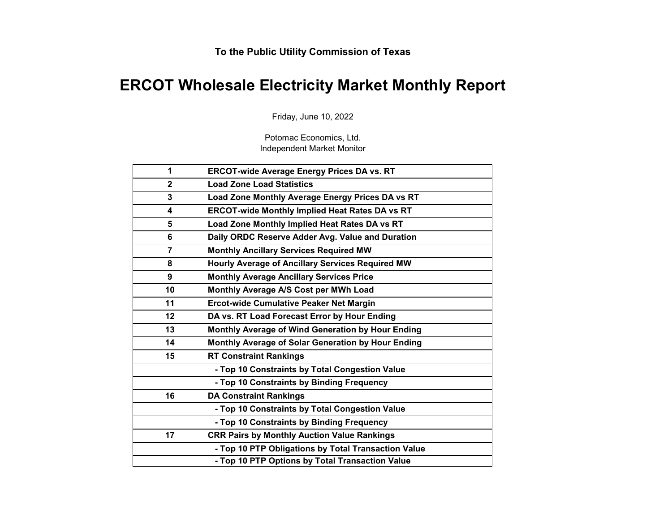# **ERCOT Wholesale Electricity Market Monthly Report**

Friday, June 10, 2022

Potomac Economics, Ltd. Independent Market Monitor

| 1              | <b>ERCOT-wide Average Energy Prices DA vs. RT</b>     |
|----------------|-------------------------------------------------------|
| $\mathbf{2}$   | <b>Load Zone Load Statistics</b>                      |
| 3              | Load Zone Monthly Average Energy Prices DA vs RT      |
| 4              | <b>ERCOT-wide Monthly Implied Heat Rates DA vs RT</b> |
| 5              | Load Zone Monthly Implied Heat Rates DA vs RT         |
| 6              | Daily ORDC Reserve Adder Avg. Value and Duration      |
| $\overline{7}$ | <b>Monthly Ancillary Services Required MW</b>         |
| 8              | Hourly Average of Ancillary Services Required MW      |
| 9              | <b>Monthly Average Ancillary Services Price</b>       |
| 10             | Monthly Average A/S Cost per MWh Load                 |
| 11             | <b>Ercot-wide Cumulative Peaker Net Margin</b>        |
| 12             | DA vs. RT Load Forecast Error by Hour Ending          |
| 13             | Monthly Average of Wind Generation by Hour Ending     |
| 14             | Monthly Average of Solar Generation by Hour Ending    |
| 15             | <b>RT Constraint Rankings</b>                         |
|                | - Top 10 Constraints by Total Congestion Value        |
|                | - Top 10 Constraints by Binding Frequency             |
| 16             | <b>DA Constraint Rankings</b>                         |
|                | - Top 10 Constraints by Total Congestion Value        |
|                | - Top 10 Constraints by Binding Frequency             |
| 17             | <b>CRR Pairs by Monthly Auction Value Rankings</b>    |
|                | - Top 10 PTP Obligations by Total Transaction Value   |
|                | - Top 10 PTP Options by Total Transaction Value       |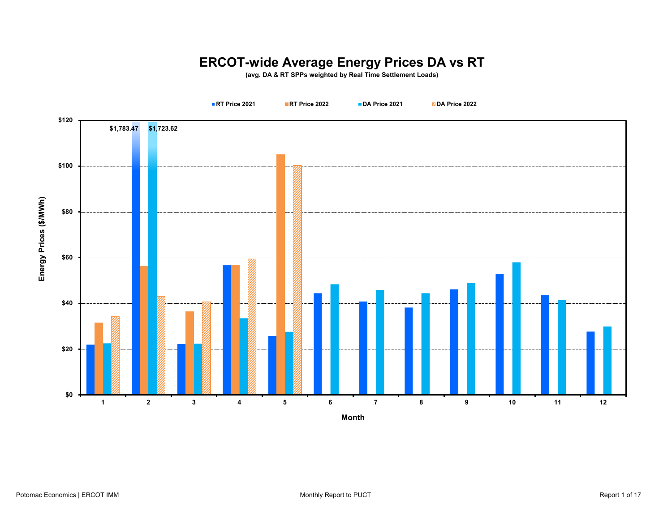# **ERCOT-wide Average Energy Prices DA vs RT**

**(avg. DA & RT SPPs weighted by Real Time Settlement Loads)**

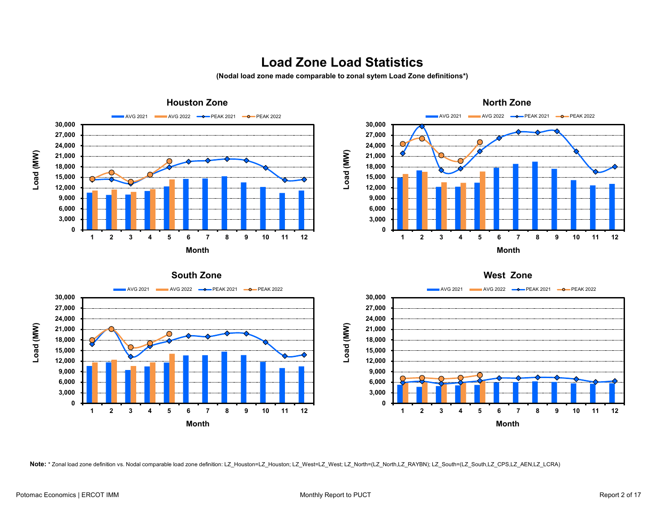#### **Load Zone Load Statistics**

**(Nodal load zone made comparable to zonal sytem Load Zone definitions\*)**









**Note:** \* Zonal load zone definition vs. Nodal comparable load zone definition: LZ\_Houston=LZ\_Houston; LZ\_West=LZ\_West; LZ\_North=(LZ\_North,LZ\_RAYBN); LZ\_South=(LZ\_South,LZ\_CPS,LZ\_AEN,LZ\_LCRA)

**South Zone**

**0 3,000 6,000 9,000 12,000 15,000 18,000 21,000 24,000 27,000 30,000**

**Load (MW)**

Load (MW)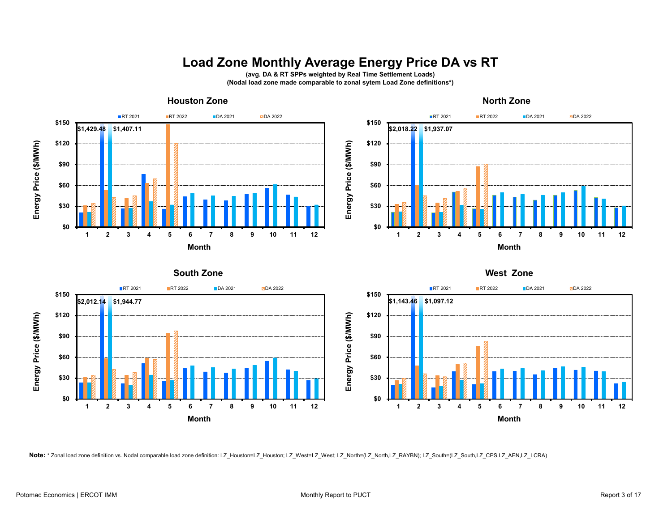#### **Load Zone Monthly Average Energy Price DA vs RT**

**(avg. DA & RT SPPs weighted by Real Time Settlement Loads) (Nodal load zone made comparable to zonal sytem Load Zone definitions\*)**







**Note:** \* Zonal load zone definition vs. Nodal comparable load zone definition: LZ\_Houston=LZ\_Houston; LZ\_West=LZ\_West; LZ\_North=(LZ\_North,LZ\_RAYBN); LZ\_South=(LZ\_South,LZ\_CPS,LZ\_AEN,LZ\_LCRA)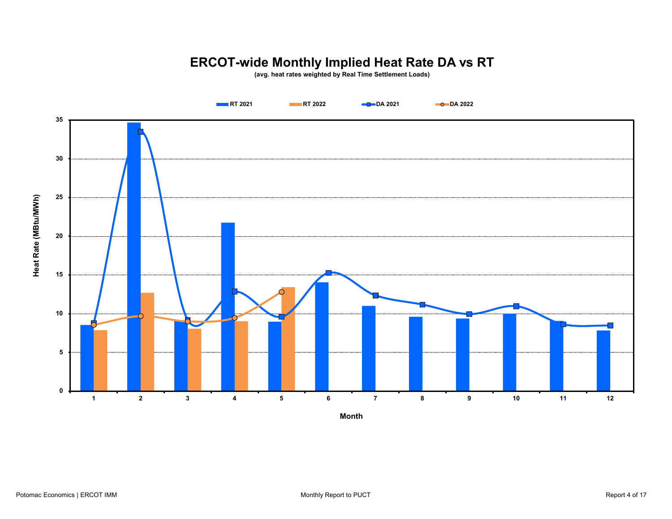# **ERCOT-wide Monthly Implied Heat Rate DA vs RT**

**(avg. heat rates weighted by Real Time Settlement Loads)**

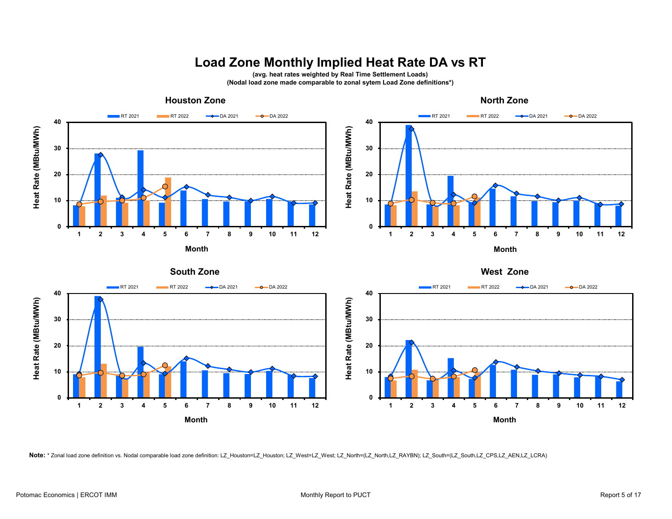# **Load Zone Monthly Implied Heat Rate DA vs RT**

**(avg. heat rates weighted by Real Time Settlement Loads) (Nodal load zone made comparable to zonal sytem Load Zone definitions\*)**



**Note:** \* Zonal load zone definition vs. Nodal comparable load zone definition: LZ\_Houston=LZ\_Houston; LZ\_West=LZ\_West; LZ\_North=(LZ\_North,LZ\_RAYBN); LZ\_South=(LZ\_South,LZ\_CPS,LZ\_AEN,LZ\_LCRA)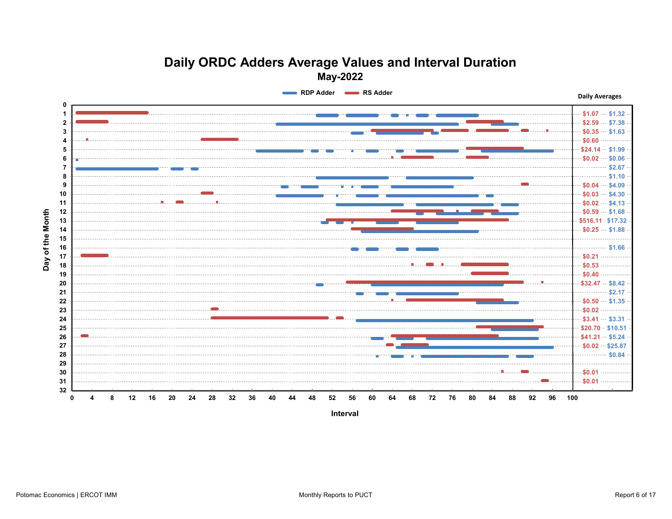#### **Daily ORDC Adders Average Values and Interval Duration May-2022**

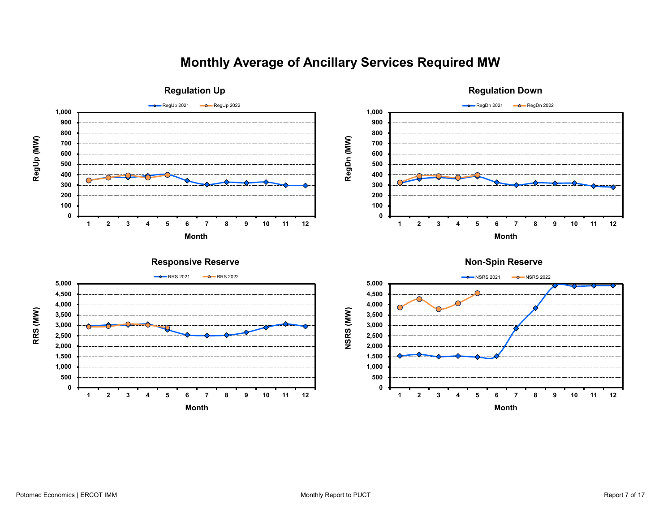### **Monthly Average of Ancillary Services Required MW**

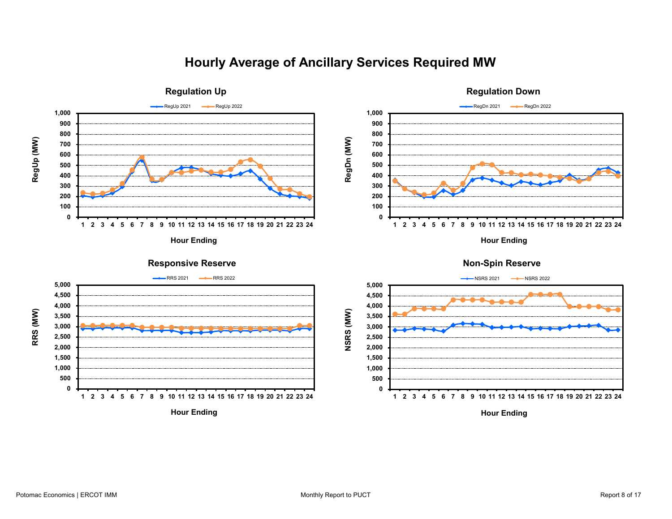#### **Hourly Average of Ancillary Services Required MW**

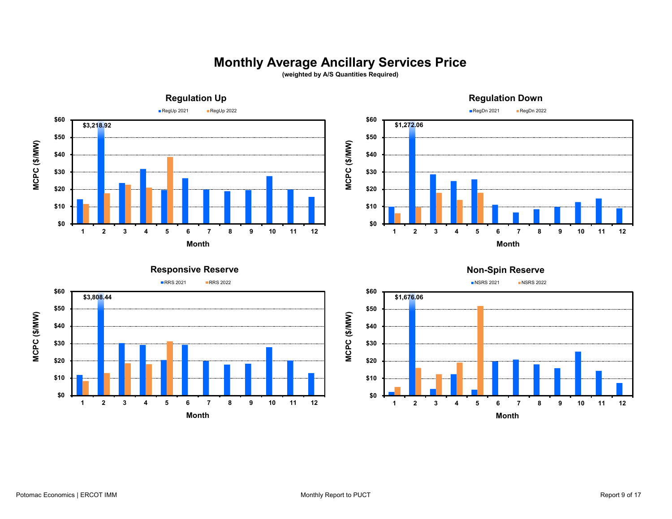### **Monthly Average Ancillary Services Price**

**(weighted by A/S Quantities Required)**





**NSRS 2021** NSRS 2022

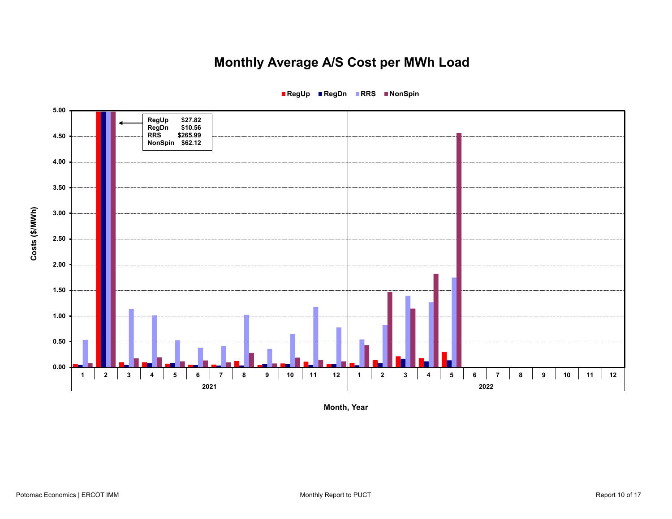# **Monthly Average A/S Cost per MWh Load**



**RegUp RegDn RRS NonSpin**

**Month, Year**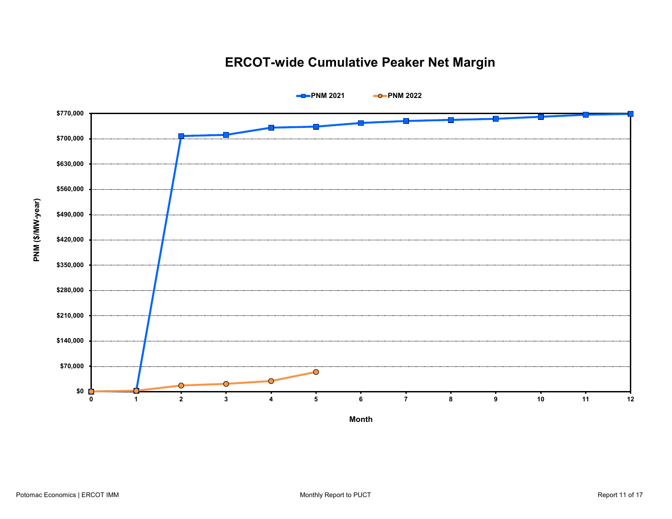## **ERCOT-wide Cumulative Peaker Net Margin**



Potomac Economics | ERCOT IMM Noted That Contact the Contact of the Monthly Report to PUCT Report 11 of 17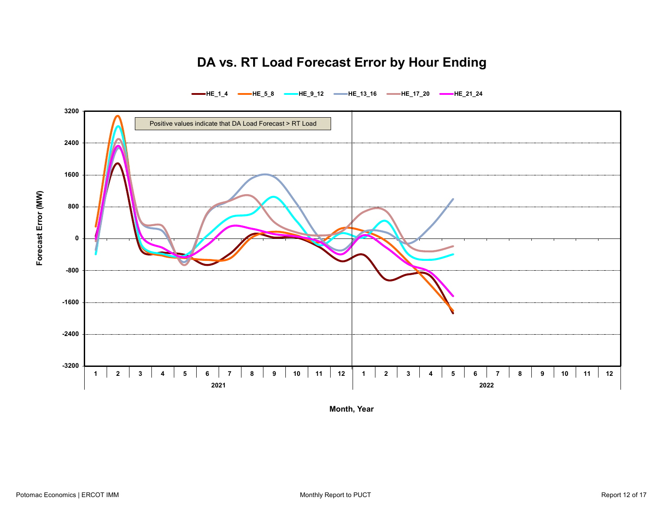## **DA vs. RT Load Forecast Error by Hour Ending**



**HE\_1\_4 HE\_5\_8 HE\_9\_12 HE\_13\_16 HE\_17\_20 HE\_21\_24**

**Month, Year**

**Forecast Error (MW)**

Forecast Error (MW)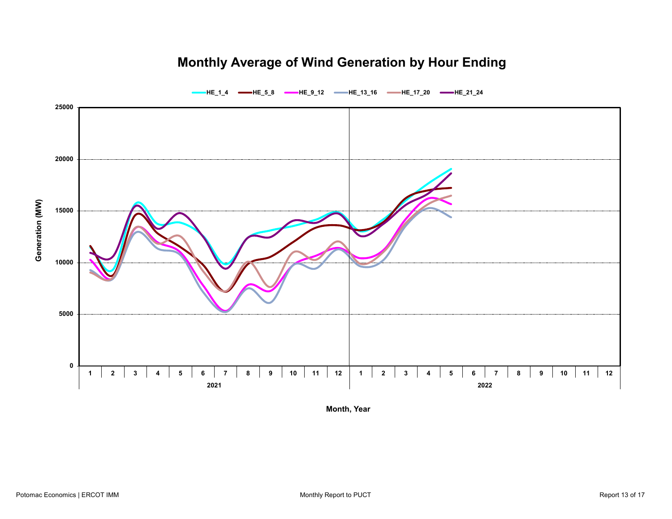## **Monthly Average of Wind Generation by Hour Ending**



**Month, Year**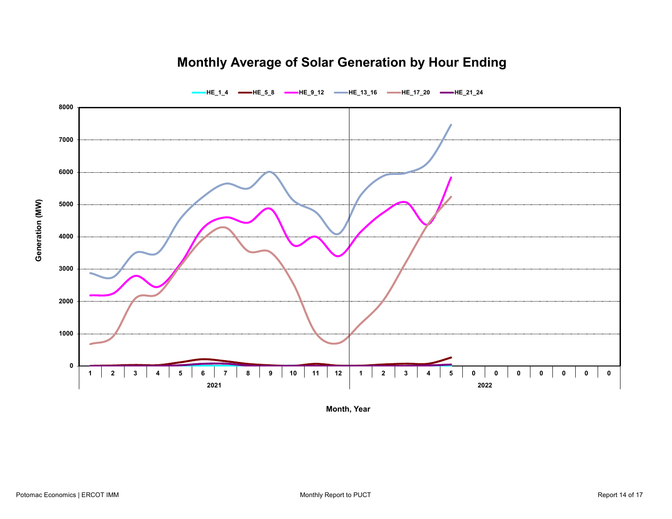## **Monthly Average of Solar Generation by Hour Ending**



**HE\_1\_4 HE\_5\_8 HE\_9\_12 HE\_13\_16 HE\_17\_20 HE\_21\_24**

**Month, Year**

**Generation (MW)**

Generation (MW)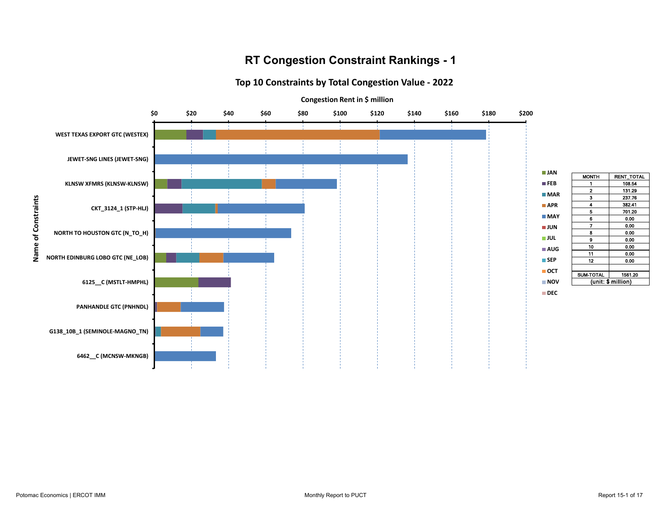#### **RT Congestion Constraint Rankings - 1**

#### **Top 10 Constraints by Total Congestion Value - 2022**



MONTH RENT\_TOTAL  $\frac{1}{2}$  108.54 131.29

 $\begin{array}{|c|c|c|}\n \hline\n 3 & 237.76 \\
 \hline\n 4 & 382.41\n \end{array}$  $\begin{array}{|c|c|c|}\n\hline\n4 & 382.41 \\
\hline\n5 & 701.20\n\end{array}$  $\begin{array}{|c|c|c|}\n\hline\n5 & 701.20 \\
\hline\n6 & 0.00 \\
\hline\n\end{array}$  $\begin{array}{c|c}\n6 & 0.00 \\
\hline\n7 & 0.00\n\end{array}$ 

8 0.00 9 0.00 10 0.00 11 0.00 12 0.00

(unit: \$ million)

 $0.00$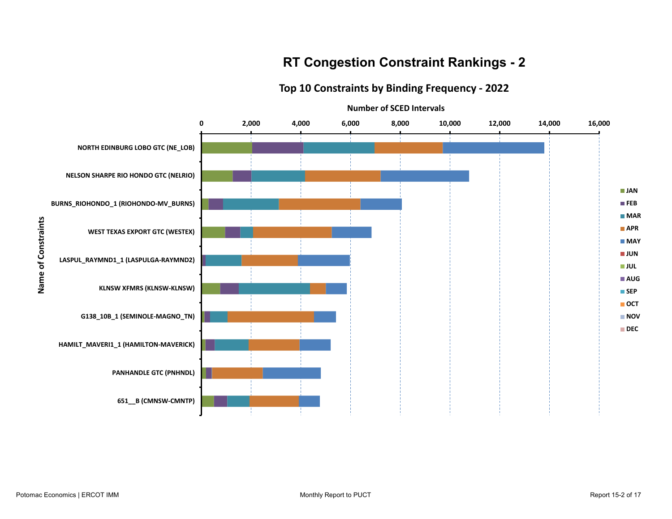### **RT Congestion Constraint Rankings - 2**

#### **Top 10 Constraints by Binding Frequency - 2022**

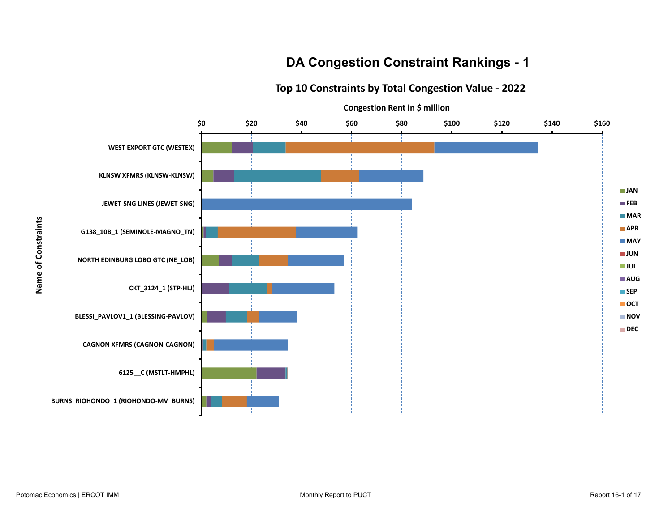### **DA Congestion Constraint Rankings - 1**

#### **Top 10 Constraints by Total Congestion Value - 2022**

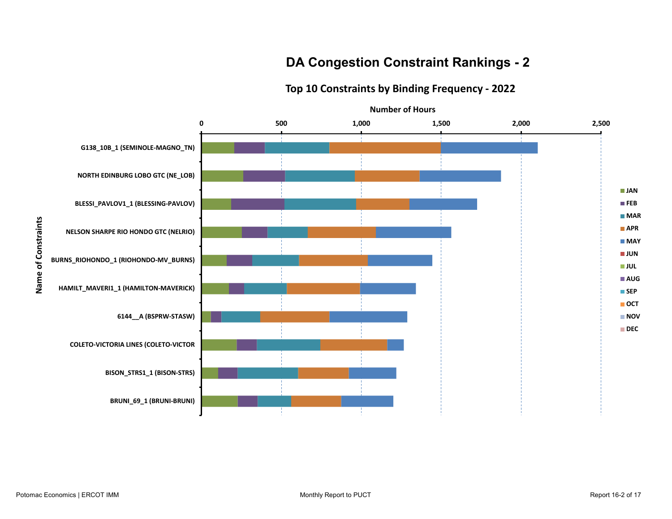### **DA Congestion Constraint Rankings - 2**

#### **Top 10 Constraints by Binding Frequency - 2022**



**Name of Constraints**

Name of Constraints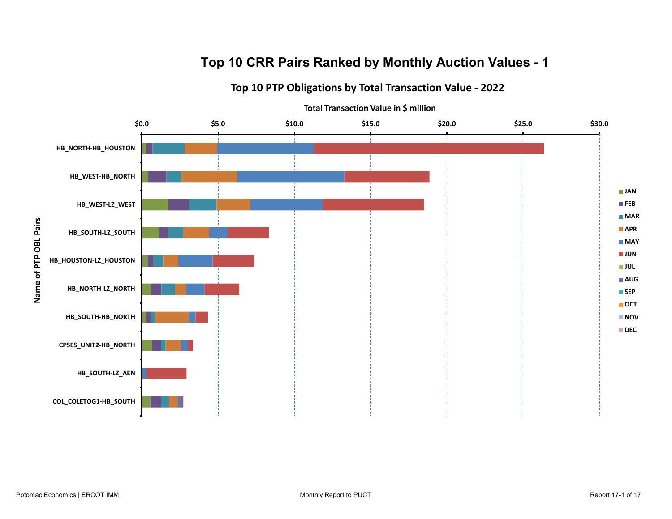## **Top 10 CRR Pairs Ranked by Monthly Auction Values - 1**

**Top 10 PTP Obligations by Total Transaction Value - 2022**

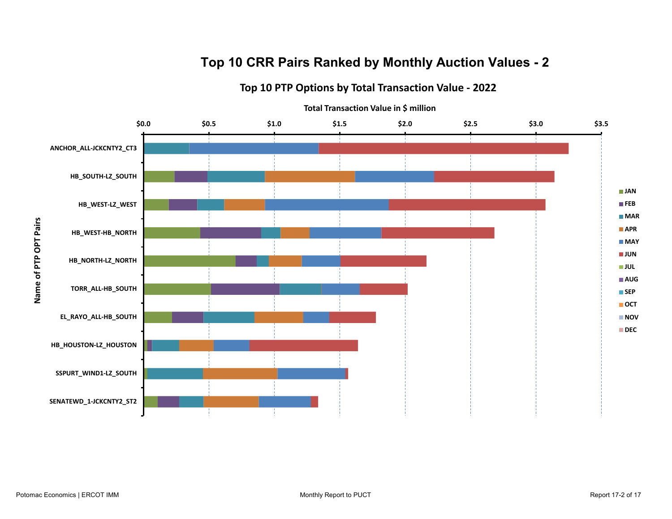## **Top 10 CRR Pairs Ranked by Monthly Auction Values - 2**

**Top 10 PTP Options by Total Transaction Value - 2022**



Name of PTP OPT Pairs **Name of PTP OPT Pairs**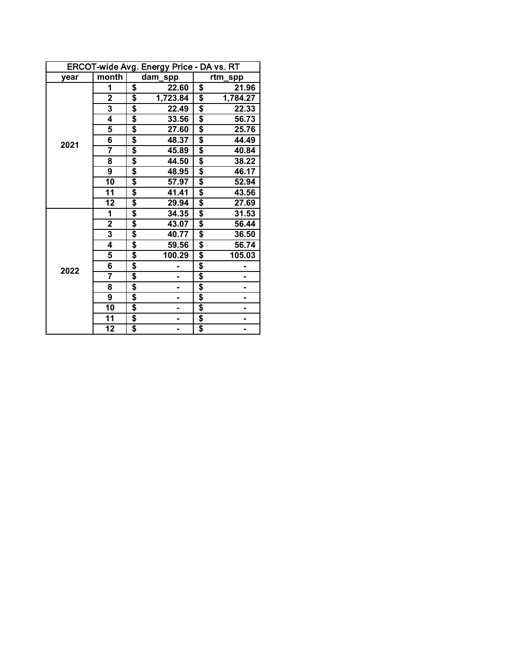|      | ERCOT-wide Avg. Energy Price - DA vs. RT |    |                |    |          |  |  |  |  |  |
|------|------------------------------------------|----|----------------|----|----------|--|--|--|--|--|
| vear | month                                    |    | dam_spp        |    | rtm_spp  |  |  |  |  |  |
|      | 1                                        | \$ | 22.60          | \$ | 21.96    |  |  |  |  |  |
|      | $\overline{\mathbf{2}}$                  | \$ | 1,723.84       | \$ | 1,784.27 |  |  |  |  |  |
|      | $\overline{\mathbf{3}}$                  | \$ | 22.49          | \$ | 22.33    |  |  |  |  |  |
|      | 4                                        | \$ | 33.56          | \$ | 56.73    |  |  |  |  |  |
|      | 5                                        | \$ | 27.60          | \$ | 25.76    |  |  |  |  |  |
| 2021 | 6                                        | \$ | 48.37          | \$ | 44.49    |  |  |  |  |  |
|      | $\overline{\mathbf{7}}$                  | \$ | 45.89          | \$ | 40.84    |  |  |  |  |  |
|      | 8                                        | \$ | 44.50          | \$ | 38.22    |  |  |  |  |  |
|      | 9                                        | \$ | 48.95          | \$ | 46.17    |  |  |  |  |  |
|      | 10                                       | \$ | 57.97          | \$ | 52.94    |  |  |  |  |  |
|      | 11                                       | \$ | 41.41          | \$ | 43.56    |  |  |  |  |  |
|      | 12                                       | \$ | 29.94          | \$ | 27.69    |  |  |  |  |  |
|      | 1                                        | \$ | 34.35          | \$ | 31.53    |  |  |  |  |  |
|      | $\overline{\mathbf{2}}$                  | \$ | 43.07          | \$ | 56.44    |  |  |  |  |  |
|      | 3                                        | \$ | 40.77          | \$ | 36.50    |  |  |  |  |  |
|      | 4                                        | \$ | 59.56          | \$ | 56.74    |  |  |  |  |  |
|      | $\overline{\mathbf{5}}$                  | \$ | 100.29         | \$ | 105.03   |  |  |  |  |  |
| 2022 | 6                                        | \$ |                | \$ |          |  |  |  |  |  |
|      | 7                                        | \$ | -              | \$ |          |  |  |  |  |  |
|      | $\overline{\mathbf{8}}$                  | \$ |                | \$ |          |  |  |  |  |  |
|      | 9                                        | \$ | $\blacksquare$ | \$ |          |  |  |  |  |  |
|      | 10                                       | \$ |                | \$ |          |  |  |  |  |  |
|      | 11                                       | \$ |                | \$ | -        |  |  |  |  |  |
|      | $\overline{12}$                          | \$ |                | \$ | Ξ.       |  |  |  |  |  |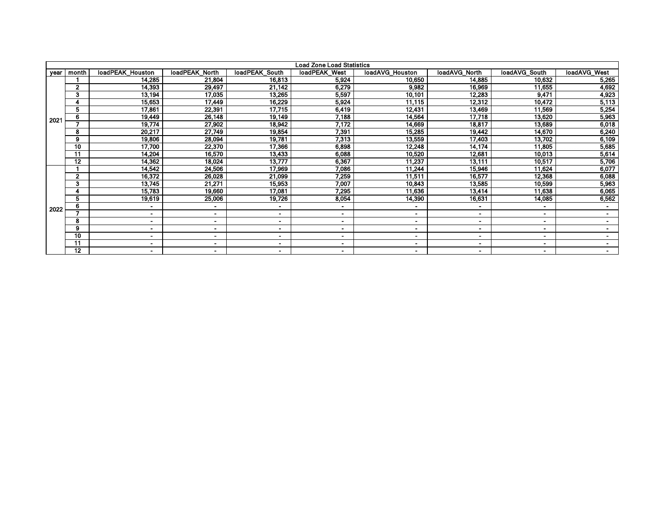| Load Zone Load Statistics |              |                          |                |                |                |                 |                          |                |                |  |  |
|---------------------------|--------------|--------------------------|----------------|----------------|----------------|-----------------|--------------------------|----------------|----------------|--|--|
| year                      | month        | loadPEAK Houston         | loadPEAK North | loadPEAK South | loadPEAK West  | loadAVG_Houston | loadAVG North            | loadAVG_South  | loadAVG West   |  |  |
|                           |              | 14,285                   | 21,804         | 16,813         | 5,924          | 10.650          | 14,885                   | 10,632         | 5,265          |  |  |
|                           | $\mathbf{2}$ | 14,393                   | 29,497         | 21,142         | 6,279          | 9,982           | 16,969                   | 11,655         | 4,692          |  |  |
|                           | 3            | 13,194                   | 17,035         | 13,265         | 5,597          | 10,101          | 12,283                   | 9,471          | 4,923          |  |  |
|                           | 4            | 15,653                   | 17,449         | 16,229         | 5,924          | 11,115          | 12,312                   | 10,472         | 5,113          |  |  |
|                           | 5            | 17,861                   | 22,391         | 17,715         | 6,419          | 12,431          | 13,469                   | 11,569         | 5,254          |  |  |
| $202 -$                   | 6            | 19,449                   | 26,148         | 19,149         | 7,188          | 14,564          | 17,718                   | 13,620         | 5,963          |  |  |
|                           |              | 19,774                   | 27,902         | 18,942         | 7,172          | 14,669          | 18,817                   | 13,689         | 6,018          |  |  |
|                           | 8            | 20,217                   | 27,749         | 19,854         | 7,391          | 15,285          | 19,442                   | 14,670         | 6,240          |  |  |
|                           | 9            | 19,806                   | 28,094         | 19,781         | 7,313          | 13,559          | 17,403                   | 13,702         | 6,109          |  |  |
|                           | 10           | 17,700                   | 22,370         | 17,366         | 6,898          | 12,248          | 14,174                   | 11,805         | 5,685          |  |  |
|                           | 11           | 14,204                   | 16,570         | 13,433         | 6,088          | 10,520          | 12,681                   | 10,013         | 5,614          |  |  |
|                           | 12           | 14,362                   | 18,024         | 13,777         | 6,367          | 11,237          | 13,111                   | 10,517         | 5,706          |  |  |
|                           |              | 14,542                   | 24,506         | 17,969         | 7,086          | 11,244          | 15,946                   | 11,624         | 6,077          |  |  |
|                           | $\mathbf{2}$ | 16,372                   | 26,028         | 21,099         | 7,259          | 11,511          | 16,577                   | 12,368         | 6,088          |  |  |
|                           | 3            | 13,745                   | 21,271         | 15,953         | 7,007          | 10,843          | 13,585                   | 10,599         | 5,963          |  |  |
|                           |              | 15,783                   | 19,660         | 17,081         | 7,295          | 11,636          | 13,414                   | 11,638         | 6,065          |  |  |
|                           | 5            | 19,619                   | 25,006         | 19,726         | 8,054          | 14,390          | 16,631                   | 14,085         | 6,562          |  |  |
| 2022                      | 6            | ۰                        |                | $\blacksquare$ | $\blacksquare$ | $\blacksquare$  |                          | $\blacksquare$ | $\blacksquare$ |  |  |
|                           | ⇁            | $\blacksquare$           | $\blacksquare$ | $\blacksquare$ | $\blacksquare$ | $\blacksquare$  | $\blacksquare$           | $\blacksquare$ | $\sim$         |  |  |
|                           | 8            | $\blacksquare$           |                | -              | $\blacksquare$ | $\blacksquare$  | $\overline{\phantom{0}}$ |                | $\blacksquare$ |  |  |
|                           | 9            | ۰.                       | . .            |                | $\blacksquare$ | $\sim$          |                          | $\sim$         | <b>COLUM</b>   |  |  |
|                           | 10           | $\overline{\phantom{0}}$ |                | $\blacksquare$ | $\blacksquare$ | $\blacksquare$  |                          |                |                |  |  |
|                           | 11           | ٠                        |                |                | ٠              |                 |                          |                |                |  |  |
|                           | $12 \,$      | ۰                        | $\blacksquare$ | $\blacksquare$ | $\blacksquare$ | $\blacksquare$  | ۰                        | $\blacksquare$ | $\sim$         |  |  |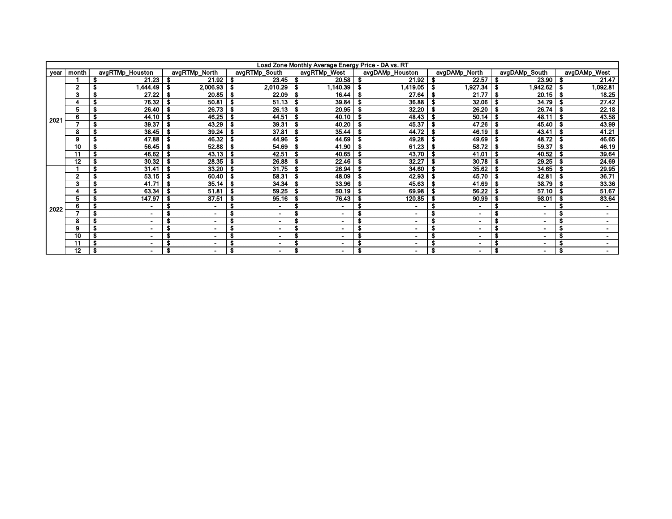| Load Zone Monthly Average Energy Price - DA vs. RT |                |                               |                       |                     |                      |                      |                       |                       |                |  |  |
|----------------------------------------------------|----------------|-------------------------------|-----------------------|---------------------|----------------------|----------------------|-----------------------|-----------------------|----------------|--|--|
| year                                               | month          | avgRTMp_Houston               | avgRTMp_North         | avgRTMp_South       | avgRTMp_West         | avgDAMp Houston      | avgDAMp_North         | avgDAMp_South         | avgDAMp_West   |  |  |
|                                                    |                | 21.23                         | $21.92$   \$          | $23.45$ \$          | 20.58                | 21.92                | 22.57                 | 23.90                 | 21.47          |  |  |
|                                                    | $\mathbf{2}$   | 1,444.49                      | 2,006.93              | $2,010.29$ \$       | 1,140.39             | 1,419.05             | 1,927.34              | 1,942.62丨             | 1,092.81       |  |  |
|                                                    | 3              | 27.22<br>S                    | 20.85                 | $22.09$ \ \$        | 16.44                | 27.64                | $21.77$   \$          | $20.15$   \$          | 18.25          |  |  |
|                                                    |                | 76.32                         | 50.81                 | $51.13$   \$        | 39.84                | 36.88                | 32.06                 | 34.79<br>- 5          | 27.42          |  |  |
|                                                    | 5              | 26.40                         | 26.73                 | $26.13$ \$          | 20.95                | 32.20                | 26 20                 | 26.74                 | 22.18          |  |  |
| 2021                                               | 6              | 44.10<br>S                    | 46.25                 | $44.51$   \$        | 40.10                | 48.43                | $50.14$   \$          | 48.11                 | 43.58          |  |  |
|                                                    |                | 39.37<br>S                    | 43.29                 | $39.31$ \$          | 40.20                | 45.37                | 47.26                 | 45.40                 | 43.99          |  |  |
|                                                    | 8              | 38.45                         | 39.24<br>-S           | $37.81$ \ \$        | 35.44                | 44.72                | 46.19                 | 43.41<br>- 5          | 41.21          |  |  |
|                                                    | 9              | 47.88                         | 46.32                 | $44.96$   \$        | 44.69                | 49.28                | 49.69                 | 48.72                 | 46.65          |  |  |
|                                                    | 10             | 56.45                         | 52.88<br>- 5          | $54.69$ \$          | 41.90                | 61.23                | 58.72                 | 59.37                 | 46.19          |  |  |
|                                                    | 11             | 46.62<br>s                    | $43.13$ $\frac{1}{3}$ | $42.51$ \ \$        | 40.65                | 43.70                | 41.01                 | 40.52<br>- 5          | 39.64          |  |  |
|                                                    | 12             | 30.32                         | 28.35                 | $26.88$ \ \$        | 22.46                | 32.27                | 30.78                 | 29.25                 | 24.69          |  |  |
|                                                    |                | 31.41                         | 33.20<br>-S           | $31.75$   \$        | 26.94                | 34.60                | 3562                  | 34.65                 | 29.95          |  |  |
|                                                    | $\overline{2}$ | 53.15                         | 60.40                 | $58.31$ \ \$        | 48.09                | 42.93                | 45.70                 | 42.81                 | 36.71          |  |  |
|                                                    | 3              | 41.71                         | 35.14                 | $34.34$ \ \$        | 33.96                | 45.63                | 41.69                 | 38.79                 | 33.36          |  |  |
|                                                    |                | 63.34                         | 51.81                 | $59.25$   \$        | 50.19                | 69.98                | 56.22                 | 57.10                 | 51.67          |  |  |
|                                                    | 5              | 147.97                        | 87.51                 | $95.16$ \$          | 76.43                | 120.85               | 90.99                 | 98.01                 | 83.64          |  |  |
| 2022                                               | 6              | S<br>۰                        | S                     | -                   | $\blacksquare$       | $\blacksquare$       |                       | $\blacksquare$        | $\blacksquare$ |  |  |
|                                                    |                | S<br>$\overline{\phantom{a}}$ |                       |                     | -                    | $\blacksquare$       |                       |                       |                |  |  |
|                                                    | 8              | $\blacksquare$                |                       | $\blacksquare$      | $\blacksquare$       | $\sim$               | ٠                     | $\blacksquare$        | $\blacksquare$ |  |  |
|                                                    | 9              | $\sim$                        | $\blacksquare$        | $\blacksquare$      | $\blacksquare$       | $\sim$               | ۰                     | $\sim$                | $\sim$         |  |  |
|                                                    | 10             | $\blacksquare$                |                       | $\blacksquare$      | $\blacksquare$       | $\blacksquare$       | $\blacksquare$        |                       |                |  |  |
|                                                    | 11             | S<br>$\blacksquare$           | S                     | S<br>$\blacksquare$ | $\blacksquare$       | ٠                    |                       |                       |                |  |  |
|                                                    | $12 \,$        | \$<br>$\sim$                  | Ŝ.<br>$\blacksquare$  | S<br>$\blacksquare$ | \$<br>$\blacksquare$ | S.<br>$\blacksquare$ | \$.<br>$\blacksquare$ | - 5<br>$\blacksquare$ | -\$<br>۰.      |  |  |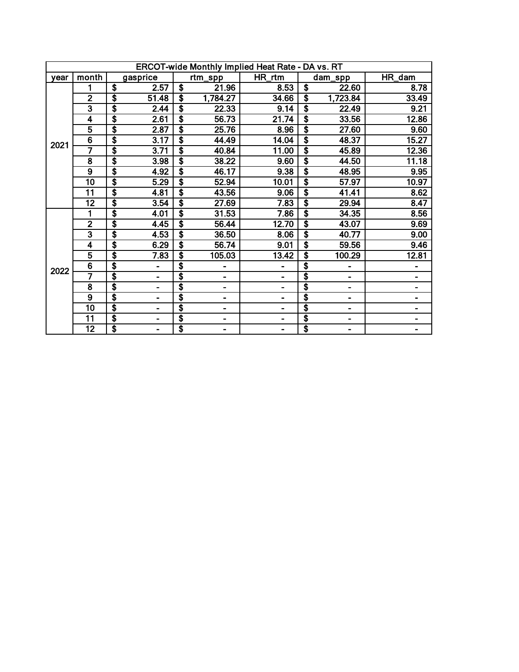|      | <b>ERCOT-wide Monthly Implied Heat Rate - DA vs. RT</b> |                                      |                          |                                      |          |        |                                  |          |        |  |  |
|------|---------------------------------------------------------|--------------------------------------|--------------------------|--------------------------------------|----------|--------|----------------------------------|----------|--------|--|--|
| vear | month                                                   |                                      | gasprice                 |                                      | rtm_spp  | HR_rtm |                                  | dam_spp  | HR_dam |  |  |
|      |                                                         | S                                    | 2.57                     | \$                                   | 21.96    | 8.53   | \$                               | 22.60    | 8.78   |  |  |
|      | $\mathbf{2}$                                            | \$                                   | 51.48                    | \$                                   | 1,784.27 | 34.66  | \$                               | 1,723.84 | 33.49  |  |  |
|      | $\overline{\mathbf{3}}$                                 | \$                                   | 2.44                     | $\overline{\boldsymbol{s}}$          | 22.33    | 9.14   | $\overline{\$}$                  | 22.49    | 9.21   |  |  |
|      | $\overline{\mathbf{4}}$                                 | $\overline{\boldsymbol{\mathsf{s}}}$ | 2.61                     | $\overline{\boldsymbol{\mathsf{s}}}$ | 56.73    | 21.74  | $\overline{\$}$                  | 33.56    | 12.86  |  |  |
|      | $\overline{5}$                                          | \$                                   | 2.87                     | $\overline{\boldsymbol{\mathsf{s}}}$ | 25.76    | 8.96   | \$                               | 27.60    | 9.60   |  |  |
| 2021 | 6                                                       | \$                                   | 3.17                     | \$                                   | 44.49    | 14.04  | \$                               | 48.37    | 15.27  |  |  |
|      | 7                                                       | \$                                   | 3.71                     | \$                                   | 40.84    | 11.00  | $\overline{\boldsymbol{\theta}}$ | 45.89    | 12.36  |  |  |
|      | 8                                                       | $\overline{\boldsymbol{\mathsf{s}}}$ | 3.98                     | \$                                   | 38.22    | 9.60   | $\overline{\boldsymbol{\theta}}$ | 44.50    | 11.18  |  |  |
|      | 9                                                       | $\overline{\$}$                      | 4.92                     | $\overline{\boldsymbol{\mathsf{s}}}$ | 46.17    | 9.38   | \$                               | 48.95    | 9.95   |  |  |
|      | 10                                                      | \$                                   | 5.29                     | \$                                   | 52.94    | 10.01  | \$                               | 57.97    | 10.97  |  |  |
|      | $\overline{11}$                                         | \$                                   | 4.81                     | s                                    | 43.56    | 9.06   | \$                               | 41.41    | 8.62   |  |  |
|      | $\overline{12}$                                         | $\overline{\$}$                      | 3.54                     | $\overline{\boldsymbol{s}}$          | 27.69    | 7.83   | \$                               | 29.94    | 8.47   |  |  |
|      | 1                                                       | \$                                   | 4.01                     | \$                                   | 31.53    | 7.86   | \$                               | 34.35    | 8.56   |  |  |
|      | $\overline{2}$                                          | \$                                   | 4.45                     | \$                                   | 56.44    | 12.70  | \$                               | 43.07    | 9.69   |  |  |
|      | $\overline{\mathbf{3}}$                                 | \$                                   | 4.53                     | \$                                   | 36.50    | 8.06   | \$                               | 40.77    | 9.00   |  |  |
|      | 4                                                       | \$                                   | 6.29                     | \$                                   | 56.74    | 9.01   | \$                               | 59.56    | 9.46   |  |  |
|      | 5                                                       | \$                                   | 7.83                     | \$                                   | 105.03   | 13.42  | \$                               | 100.29   | 12.81  |  |  |
| 2022 | 6                                                       | \$                                   |                          | \$                                   |          |        | \$                               | -        |        |  |  |
|      | 7                                                       | \$                                   |                          | \$                                   |          | Ξ.     | \$                               |          | Ξ.     |  |  |
|      | 8                                                       | $\overline{\boldsymbol{\mathsf{s}}}$ |                          | \$                                   |          | -      | \$                               | ۰        | Ξ.     |  |  |
|      | $\overline{9}$                                          | \$                                   | $\overline{\phantom{0}}$ | \$                                   |          | -      | \$                               | -        |        |  |  |
|      | $\overline{10}$                                         | \$                                   | Ξ.                       | \$                                   |          | -      | \$                               | Ξ.       |        |  |  |
|      | 11                                                      | \$                                   | $\overline{a}$           | \$                                   | ۰        | -      | \$                               | -        | -      |  |  |
|      | $\overline{12}$                                         | \$                                   | Ξ.                       | \$                                   |          | -      | s                                |          |        |  |  |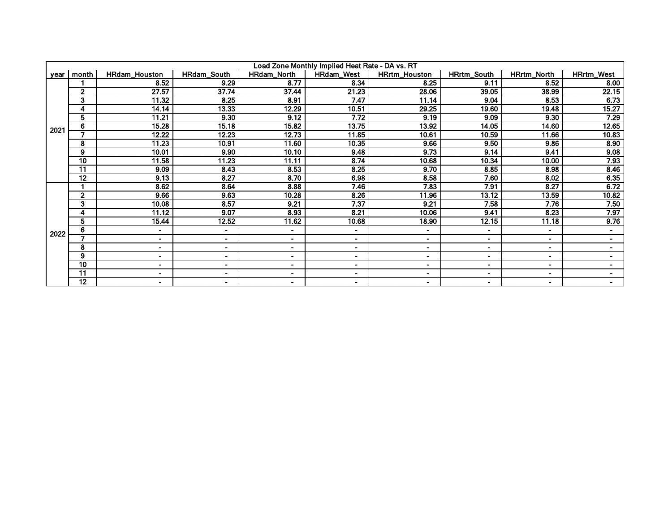|      | Load Zone Monthly Implied Heat Rate - DA vs. RT |                      |                    |                    |                |                      |                    |                    |                          |  |  |  |
|------|-------------------------------------------------|----------------------|--------------------|--------------------|----------------|----------------------|--------------------|--------------------|--------------------------|--|--|--|
| year | month                                           | <b>HRdam Houston</b> | <b>HRdam South</b> | <b>HRdam North</b> | HRdam_West     | <b>HRrtm Houston</b> | <b>HRrtm South</b> | <b>HRrtm North</b> | <b>HRrtm West</b>        |  |  |  |
|      |                                                 | 8.52                 | 9.29               | 8.77               | 8.34           | 8.25                 | 9.11               | 8.52               | 8.00                     |  |  |  |
|      | $\overline{2}$                                  | 27.57                | 37.74              | 37.44              | 21.23          | 28.06                | 39.05              | 38.99              | 22.15                    |  |  |  |
|      | 3                                               | 11.32                | 8.25               | 8.91               | 7.47           | 11.14                | 9.04               | 8.53               | 6.73                     |  |  |  |
|      |                                                 | 14.14                | 13.33              | 12.29              | 10.51          | 29.25                | 19.60              | 19.48              | 15.27                    |  |  |  |
|      | 5                                               | 11.21                | 9.30               | 9.12               | 7.72           | 9.19                 | 9.09               | 9.30               | 7.29                     |  |  |  |
| 2021 | 6                                               | 15.28                | 15.18              | 15.82              | 13.75          | 13.92                | 14.05              | 14.60              | 12.65                    |  |  |  |
|      | 7                                               | 12.22                | 12.23              | 12.73              | 11.85          | 10.61                | 10.59              | 11.66              | 10.83                    |  |  |  |
|      | 8                                               | 11.23                | 10.91              | 11.60              | 10.35          | 9.66                 | 9.50               | 9.86               | 8.90                     |  |  |  |
|      | 9                                               | 10.01                | 9.90               | 10.10              | 9.48           | 9.73                 | 9.14               | 9.41               | 9.08                     |  |  |  |
|      | 10                                              | 11.58                | 11.23              | 11.11              | 8.74           | 10.68                | 10.34              | 10.00              | 7.93                     |  |  |  |
|      | $\overline{11}$                                 | 9.09                 | 8.43               | 8.53               | 8.25           | 9.70                 | 8.85               | 8.98               | 8.46                     |  |  |  |
|      | $\overline{12}$                                 | 9.13                 | 8.27               | 8.70               | 6.98           | 8.58                 | 7.60               | 8.02               | 6.35                     |  |  |  |
|      |                                                 | 8.62                 | 8.64               | 8.88               | 7.46           | 7.83                 | 7.91               | 8.27               | 6.72                     |  |  |  |
|      | $\mathbf{2}$                                    | 9.66                 | 9.63               | 10.28              | 8.26           | 11.96                | 13.12              | 13.59              | 10.82                    |  |  |  |
|      | 3                                               | 10.08                | 8.57               | 9.21               | 7.37           | 9.21                 | 7.58               | 7.76               | 7.50                     |  |  |  |
|      | 4                                               | 11.12                | 9.07               | 8.93               | 8.21           | 10.06                | 9.41               | 8.23               | 7.97                     |  |  |  |
|      | 5                                               | 15.44                | 12.52              | 11.62              | 10.68          | 18.90                | 12.15              | 11.18              | 9.76                     |  |  |  |
| 2022 | 6                                               | $\blacksquare$       | ۰                  | $\blacksquare$     | $\blacksquare$ | ٠                    | ۰                  | $\blacksquare$     | $\sim$                   |  |  |  |
|      |                                                 | $\blacksquare$       | $\blacksquare$     | $\sim$             | $\sim$         | $\blacksquare$       | ۰.                 | $\blacksquare$     | $\overline{\phantom{a}}$ |  |  |  |
|      | 8                                               | $\blacksquare$       | $\blacksquare$     | ۰.                 | $\sim$         | ۰                    | ۰                  | $\blacksquare$     | $\blacksquare$           |  |  |  |
|      | 9                                               | ۰.                   | $\blacksquare$     | ۰                  | $\blacksquare$ | $\blacksquare$       | $\blacksquare$     | $\blacksquare$     | $\sim$                   |  |  |  |
|      | 10                                              | ۰.                   | ۰                  | ۰.                 | $\sim$         | ٠                    | ٠                  | $\blacksquare$     | $\blacksquare$           |  |  |  |
|      | 11                                              | $\blacksquare$       | $\blacksquare$     | ۰.                 | $\blacksquare$ | $\blacksquare$       | -                  | $\blacksquare$     | $\blacksquare$           |  |  |  |
|      | 12                                              | $\blacksquare$       | -                  | ۰.                 | $\sim$         | ۰                    | $\blacksquare$     | $\blacksquare$     | $\blacksquare$           |  |  |  |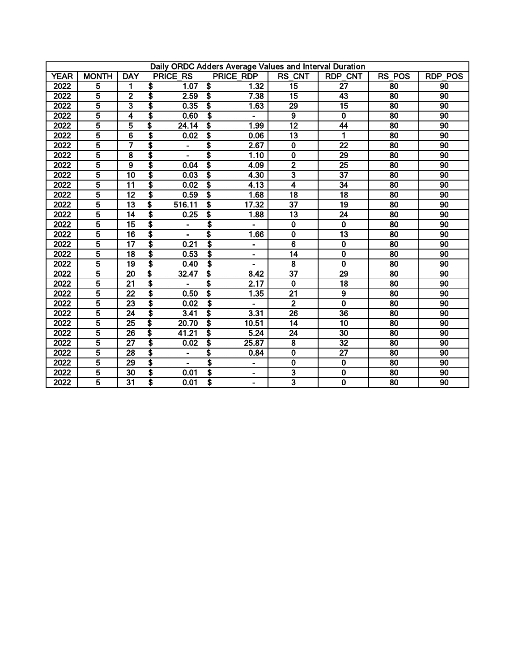|             | Daily ORDC Adders Average Values and Interval Duration |                         |                                      |                                      |                |                         |                         |                 |                 |  |  |
|-------------|--------------------------------------------------------|-------------------------|--------------------------------------|--------------------------------------|----------------|-------------------------|-------------------------|-----------------|-----------------|--|--|
| <b>YEAR</b> | <b>MONTH</b>                                           | <b>DAY</b>              | <b>PRICE RS</b>                      |                                      | PRICE RDP      | RS_CNT                  | <b>RDP CNT</b>          | <b>RS POS</b>   | <b>RDP POS</b>  |  |  |
| 2022        | 5                                                      | 1                       | S<br>1.07                            | S,                                   | 1.32           | $\overline{15}$         | 27                      | 80              | 90              |  |  |
| 2022        | 5                                                      | $\overline{2}$          | \$<br>2.59                           | s)                                   | 7.38           | $\overline{15}$         | 43                      | 80              | 90              |  |  |
| 2022        | $\overline{5}$                                         | 3                       | \$<br>0.35                           | Ŝ.                                   | 1.63           | 29                      | $\overline{15}$         | 80              | 90              |  |  |
| 2022        | $\overline{5}$                                         | 4                       | \$<br>0.60                           | Ŝ.                                   | ٠              | $\overline{9}$          | $\mathbf 0$             | 80              | 90              |  |  |
| 2022        | $\overline{5}$                                         | 5                       | \$<br>24.14                          | $\boldsymbol{\mathsf{s}}$            | 1.99           | $\overline{12}$         | 44                      | 80              | 90              |  |  |
| 2022        | 5                                                      | $\overline{6}$          | \$<br>0.02                           | $\overline{\boldsymbol{s}}$          | 0.06           | $\overline{13}$         | 1                       | 80              | 90              |  |  |
| 2022        | 5                                                      | 7                       | \$                                   | $\overline{\boldsymbol{s}}$          | 2.67           | $\mathbf 0$             | $\overline{22}$         | $\overline{80}$ | 90              |  |  |
| 2022        | $\overline{5}$                                         | $\overline{\mathbf{8}}$ | \$                                   | $\overline{\boldsymbol{s}}$          | 1.10           | $\overline{\mathbf{0}}$ | 29                      | 80              | 90              |  |  |
| 2022        | 5                                                      | $\overline{9}$          | \$<br>0.04                           | $\overline{\boldsymbol{\mathsf{s}}}$ | 4.09           | $\overline{2}$          | $\overline{25}$         | $\overline{80}$ | $\overline{90}$ |  |  |
| 2022        | 5                                                      | $\overline{10}$         | \$<br>0.03                           | \$                                   | 4.30           | $\overline{\mathbf{3}}$ | $\overline{37}$         | 80              | 90              |  |  |
| 2022        | $\overline{5}$                                         | $\overline{11}$         | \$<br>0.02                           | \$                                   | 4.13           | $\overline{\bf{4}}$     | $\overline{34}$         | $\overline{80}$ | 90              |  |  |
| 2022        | $\overline{5}$                                         | $\overline{12}$         | \$<br>0.59                           | \$                                   | 1.68           | $\overline{18}$         | 18                      | 80              | 90              |  |  |
| 2022        | 5                                                      | $\overline{13}$         | \$<br>516.11                         | $\overline{\boldsymbol{s}}$          | 17.32          | $\overline{37}$         | $\overline{19}$         | $\overline{80}$ | 90              |  |  |
| 2022        | 5                                                      | $\overline{14}$         | \$<br>0.25                           | $\overline{\boldsymbol{s}}$          | 1.88           | $\overline{13}$         | $\overline{24}$         | 80              | 90              |  |  |
| 2022        | $\overline{5}$                                         | $\overline{15}$         | $\overline{\boldsymbol{\mathsf{s}}}$ | \$                                   |                | $\mathbf 0$             | $\overline{\mathbf{0}}$ | $\overline{80}$ | 90              |  |  |
| 2022        | $\overline{5}$                                         | $\overline{16}$         | \$                                   | $\overline{\boldsymbol{s}}$          | 1.66           | $\overline{0}$          | $\overline{13}$         | 80              | 90              |  |  |
| 2022        | 5                                                      | $\overline{17}$         | S<br>0.21                            | $\overline{\boldsymbol{s}}$          | $\blacksquare$ | $\overline{6}$          | $\mathbf 0$             | 80              | 90              |  |  |
| 2022        | 5                                                      | $\overline{18}$         | \$<br>0.53                           | \$                                   | $\blacksquare$ | $\overline{14}$         | $\overline{\mathbf{0}}$ | 80              | 90              |  |  |
| 2022        | $\overline{5}$                                         | 19                      | \$<br>0.40                           | \$                                   | ۰              | 8                       | $\overline{\mathbf{0}}$ | 80              | 90              |  |  |
| 2022        | $\overline{5}$                                         | 20                      | \$<br>32.47                          | S                                    | 8.42           | $\overline{37}$         | 29                      | 80              | 90              |  |  |
| 2022        | 5                                                      | 21                      | $\overline{\mathbf{S}}$              | Ŝ                                    | 2.17           | $\mathbf 0$             | 18                      | 80              | 90              |  |  |
| 2022        | $\overline{5}$                                         | $\overline{22}$         | \$<br>0.50                           | S,                                   | 1.35           | $\overline{21}$         | 9                       | 80              | 90              |  |  |
| 2022        | $\overline{5}$                                         | 23                      | S<br>0.02                            | \$                                   |                | $\overline{2}$          | $\overline{\mathbf{0}}$ | 80              | 90              |  |  |
| 2022        | $\overline{5}$                                         | 24                      | S<br>3.41                            | S,                                   | 3.31           | $\overline{26}$         | $\overline{36}$         | 80              | 90              |  |  |
| 2022        | 5                                                      | $\overline{25}$         | s<br>20.70                           | Ŝ                                    | 10.51          | $\overline{14}$         | $\overline{10}$         | 80              | 90              |  |  |
| 2022        | 5                                                      | $\overline{26}$         | \$<br>41.21                          | $\overline{\boldsymbol{s}}$          | 5.24           | $\overline{24}$         | 30                      | 80              | 90              |  |  |
| 2022        | $\overline{\mathbf{5}}$                                | $\overline{27}$         | \$<br>0.02                           | \$                                   | 25.87          | $\overline{\mathbf{8}}$ | $\overline{32}$         | $\overline{80}$ | 90              |  |  |
| 2022        | $\overline{\mathbf{5}}$                                | 28                      | \$<br>$\blacksquare$                 | Ŝ                                    | 0.84           | $\overline{\mathbf{0}}$ | $\overline{27}$         | 80              | 90              |  |  |
| 2022        | 5                                                      | 29                      | \$                                   | \$                                   | $\blacksquare$ | 0                       | $\overline{\mathbf{0}}$ | $\overline{80}$ | 90              |  |  |
| 2022        | $\overline{\mathbf{5}}$                                | $\overline{30}$         | \$<br>0.01                           | \$                                   | $\blacksquare$ | $\overline{\mathbf{3}}$ | $\overline{\mathbf{0}}$ | 80              | 90              |  |  |
| 2022        | $\overline{5}$                                         | $\overline{31}$         | \$<br>0.01                           | T                                    | $\blacksquare$ | $\overline{\mathbf{3}}$ | $\overline{\mathbf{0}}$ | 80              | 90              |  |  |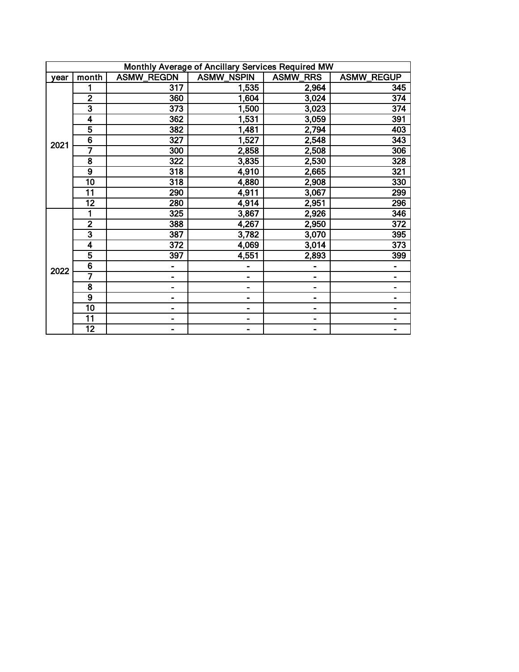|      | Monthly Average of Ancillary Services Required MW |                   |                   |                           |                   |  |  |  |  |  |  |
|------|---------------------------------------------------|-------------------|-------------------|---------------------------|-------------------|--|--|--|--|--|--|
| vear | month                                             | <b>ASMW REGDN</b> | <b>ASMW NSPIN</b> | <b>ASMW</b><br><b>RRS</b> | <b>ASMW REGUP</b> |  |  |  |  |  |  |
|      |                                                   | 317               | 1,535             | 2,964                     | 345               |  |  |  |  |  |  |
|      | $\overline{2}$                                    | 360               | 1,604             | 3,024                     | 374               |  |  |  |  |  |  |
|      | $\overline{\mathbf{3}}$                           | 373               | 1,500             | 3,023                     | 374               |  |  |  |  |  |  |
|      | 4                                                 | 362               | 1,531             | 3,059                     | 391               |  |  |  |  |  |  |
|      | 5                                                 | 382               | 1,481             | 2,794                     | 403               |  |  |  |  |  |  |
| 2021 | $\overline{6}$                                    | 327               | 1,527             | 2,548                     | 343               |  |  |  |  |  |  |
|      | 7                                                 | 300               | 2,858             | 2,508                     | 306               |  |  |  |  |  |  |
|      | $\overline{\mathbf{8}}$                           | 322               | 3,835             | 2,530                     | 328               |  |  |  |  |  |  |
|      | $\overline{9}$                                    | 318               | 4,910             | 2,665                     | 321               |  |  |  |  |  |  |
|      | 10                                                | 318               | 4,880             | 2,908                     | 330               |  |  |  |  |  |  |
|      | $\overline{11}$                                   | 290               | 4,911             | 3,067                     | 299               |  |  |  |  |  |  |
|      | $\overline{12}$                                   | 280               | 4,914             | 2,951                     | 296               |  |  |  |  |  |  |
|      |                                                   | 325               | 3,867             | 2,926                     | 346               |  |  |  |  |  |  |
|      | $\overline{2}$                                    | 388               | 4,267             | 2,950                     | 372               |  |  |  |  |  |  |
|      | $\overline{\mathbf{3}}$                           | 387               | 3,782             | 3,070                     | 395               |  |  |  |  |  |  |
|      | 4                                                 | 372               | 4,069             | 3,014                     | 373               |  |  |  |  |  |  |
|      | 5                                                 | 397               | 4,551             | 2,893                     | 399               |  |  |  |  |  |  |
| 2022 | 6                                                 | -                 |                   |                           |                   |  |  |  |  |  |  |
|      | 7                                                 | -                 | -                 |                           |                   |  |  |  |  |  |  |
|      | $\overline{\mathbf{8}}$                           | -                 | -                 |                           |                   |  |  |  |  |  |  |
|      | $\overline{9}$                                    |                   | -                 | -                         |                   |  |  |  |  |  |  |
|      | $\overline{10}$                                   | -                 | -                 | -                         |                   |  |  |  |  |  |  |
|      | 11                                                | -                 | -                 | -                         | -                 |  |  |  |  |  |  |
|      | 12                                                | -                 | -                 |                           | -                 |  |  |  |  |  |  |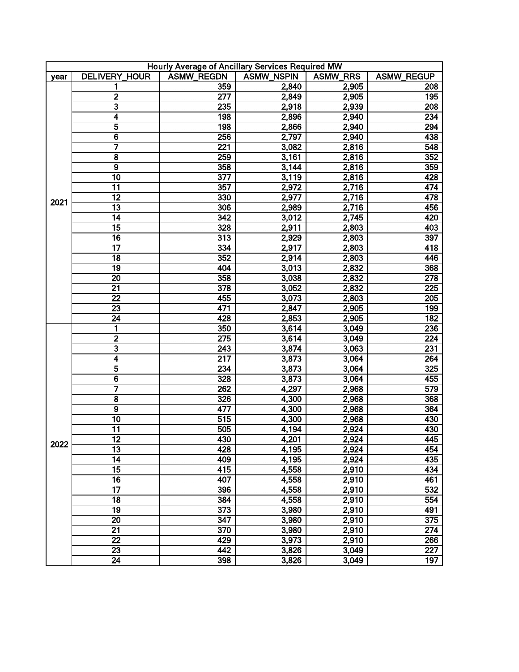| Hourly Average of Ancillary Services Required MW |                         |                   |                   |                 |                   |  |  |  |
|--------------------------------------------------|-------------------------|-------------------|-------------------|-----------------|-------------------|--|--|--|
| year                                             | <b>DELIVERY_HOUR</b>    | <b>ASMW_REGDN</b> | <b>ASMW_NSPIN</b> | <b>ASMW_RRS</b> | <b>ASMW_REGUP</b> |  |  |  |
|                                                  | 1                       | 359               | 2,840             | 2,905           | 208               |  |  |  |
|                                                  | $\overline{2}$          | $\overline{277}$  | 2,849             | 2,905           | 195               |  |  |  |
|                                                  | $\overline{\mathbf{3}}$ | 235               | 2,918             | 2,939           | 208               |  |  |  |
|                                                  | 4                       | 198               | 2,896             | 2,940           | 234               |  |  |  |
|                                                  | 5                       | 198               | 2,866             | 2,940           | 294               |  |  |  |
|                                                  | $\overline{6}$          | 256               | 2,797             | 2,940           | 438               |  |  |  |
|                                                  | 7                       | $\overline{221}$  | 3,082             | 2,816           | 548               |  |  |  |
|                                                  | $\overline{\mathbf{8}}$ | 259               | 3,161             | 2,816           | 352               |  |  |  |
|                                                  | $\overline{9}$          | 358               | 3,144             | 2,816           | 359               |  |  |  |
|                                                  | 10                      | $\overline{377}$  | 3,119             | 2,816           | 428               |  |  |  |
|                                                  | $\overline{11}$         | 357               | 2,972             | 2,716           | 474               |  |  |  |
|                                                  | $\overline{12}$         | 330               | 2,977             | 2,716           | 478               |  |  |  |
| 2021                                             | $\overline{13}$         | 306               | 2,989             | 2,716           | 456               |  |  |  |
|                                                  | $\overline{14}$         | 342               | 3,012             | 2,745           | 420               |  |  |  |
|                                                  | $\overline{15}$         | 328               | 2,911             | 2,803           | 403               |  |  |  |
|                                                  | $\overline{16}$         | $\overline{313}$  | 2,929             | 2,803           | 397               |  |  |  |
|                                                  | $\overline{17}$         | 334               | 2,917             | 2,803           | 418               |  |  |  |
|                                                  | $\overline{18}$         | 352               | 2,914             | 2,803           | 446               |  |  |  |
|                                                  | 19                      | 404               | 3,013             | 2,832           | 368               |  |  |  |
|                                                  | $\overline{20}$         | 358               | 3,038             | 2,832           | 278               |  |  |  |
|                                                  | $\overline{21}$         | $\overline{378}$  | 3,052             | 2,832           | $\overline{225}$  |  |  |  |
|                                                  | $\overline{22}$         | 455               | 3,073             | 2,803           | 205               |  |  |  |
|                                                  | $\overline{23}$         | 471               | 2,847             | 2,905           | 199               |  |  |  |
|                                                  | $\overline{24}$         | 428               | 2,853             | 2,905           | 182               |  |  |  |
|                                                  | 1                       | 350               | 3,614             | 3,049           | 236               |  |  |  |
|                                                  | $\overline{2}$          | $\overline{275}$  | 3,614             | 3,049           | 224               |  |  |  |
|                                                  | 3                       | 243               | 3,874             | 3,063           | 231               |  |  |  |
|                                                  | 4                       | $\overline{217}$  | 3,873             | 3,064           | 264               |  |  |  |
|                                                  | 5                       | 234               | 3,873             | 3,064           | 325               |  |  |  |
|                                                  | 6                       | 328               | 3,873             | 3,064           | 455               |  |  |  |
|                                                  | 7                       | 262               | 4,297             | 2,968           | 579               |  |  |  |
|                                                  | 8                       | 326               | 4,300             | 2,968           | 368               |  |  |  |
|                                                  | $\overline{9}$          | 477               | 4,300             | 2,968           | 364               |  |  |  |
|                                                  | 10                      | 515               | 4,300             | 2,968           | 430               |  |  |  |
|                                                  | 11                      | 505               | 4,194             | 2,924           | 430               |  |  |  |
|                                                  | $\overline{12}$         | 430               | 4,201             | 2,924           | $\overline{445}$  |  |  |  |
| 2022                                             | $\overline{13}$         | 428               | 4,195             | 2,924           | 454               |  |  |  |
|                                                  | 14                      | 409               | 4,195             | 2,924           | 435               |  |  |  |
|                                                  | $\overline{15}$         | 415               | 4,558             | 2,910           | 434               |  |  |  |
|                                                  | 16                      | 407               | 4,558             | 2,910           | 461               |  |  |  |
|                                                  | $\overline{17}$         | 396               | 4,558             | 2,910           | 532               |  |  |  |
|                                                  | 18                      | 384               | 4,558             | 2,910           | 554               |  |  |  |
|                                                  | 19                      | 373               | 3,980             | 2,910           | 491               |  |  |  |
|                                                  | 20                      | 347               | 3,980             | 2,910           | 375               |  |  |  |
|                                                  | $\overline{21}$         | 370               | 3,980             | 2,910           | 274               |  |  |  |
|                                                  | $\overline{22}$         | 429               | 3,973             | 2,910           | 266               |  |  |  |
|                                                  | $\overline{23}$         | 442               | 3,826             | 3,049           | $\overline{227}$  |  |  |  |
|                                                  | $\overline{24}$         | 398               | 3,826             | 3,049           | 197               |  |  |  |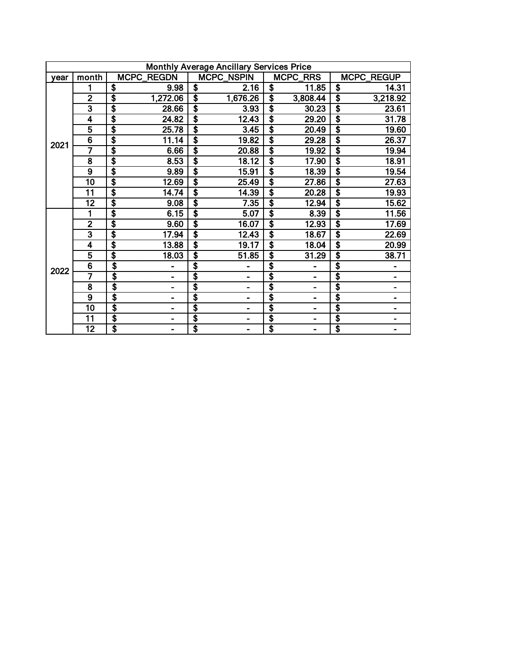|      | <b>Monthly Average Ancillary Services Price</b> |                             |                                      |                   |    |                       |    |            |  |  |  |
|------|-------------------------------------------------|-----------------------------|--------------------------------------|-------------------|----|-----------------------|----|------------|--|--|--|
| vear | month                                           | <b>MCPC_REGDN</b>           |                                      | <b>MCPC_NSPIN</b> |    | MCPC_RRS              |    | MCPC_REGUP |  |  |  |
|      |                                                 | \$<br>9.98                  | $\overline{\boldsymbol{s}}$          | 2.16              | \$ | 11.85                 | \$ | 14.31      |  |  |  |
|      | $\overline{2}$                                  | $\overline{\$}$<br>1,272.06 | $\overline{\boldsymbol{\mathsf{s}}}$ | 1,676.26          | \$ | $3,808.\overline{44}$ | \$ | 3,218.92   |  |  |  |
|      | $\overline{\mathbf{3}}$                         | \$<br>28.66                 | \$                                   | 3.93              | \$ | 30.23                 | \$ | 23.61      |  |  |  |
|      | 4                                               | \$<br>24.82                 | $\overline{\boldsymbol{\mathsf{s}}}$ | 12.43             | s  | 29.20                 | \$ | 31.78      |  |  |  |
|      | $\overline{5}$                                  | \$<br>25.78                 | \$                                   | 3.45              | \$ | 20.49                 | \$ | 19.60      |  |  |  |
| 2021 | $\overline{6}$                                  | \$<br>11.14                 | \$                                   | 19.82             | \$ | 29.28                 | \$ | 26.37      |  |  |  |
|      | 7                                               | \$<br>6.66                  | \$                                   | 20.88             | \$ | 19.92                 | \$ | 19.94      |  |  |  |
|      | $\overline{\mathbf{8}}$                         | \$<br>8.53                  | \$                                   | 18.12             | \$ | 17.90                 | \$ | 18.91      |  |  |  |
|      | $\overline{9}$                                  | \$<br>9.89                  | \$                                   | 15.91             | \$ | 18.39                 | \$ | 19.54      |  |  |  |
|      | $\overline{10}$                                 | \$<br>12.69                 | \$                                   | 25.49             | \$ | 27.86                 | \$ | 27.63      |  |  |  |
|      | $\overline{11}$                                 | \$<br>14.74                 | \$                                   | 14.39             | \$ | 20.28                 | \$ | 19.93      |  |  |  |
|      | $\overline{12}$                                 | \$<br>9.08                  | Ŝ                                    | 7.35              | \$ | 12.94                 | \$ | 15.62      |  |  |  |
|      |                                                 | \$<br>6.15                  | \$                                   | 5.07              | \$ | 8.39                  | \$ | 11.56      |  |  |  |
|      | $\overline{2}$                                  | \$<br>9.60                  | \$                                   | 16.07             | \$ | 12.93                 | \$ | 17.69      |  |  |  |
|      | $\overline{\mathbf{3}}$                         | \$<br>17.94                 | \$                                   | 12.43             | \$ | 18.67                 | \$ | 22.69      |  |  |  |
|      | 4                                               | \$<br>13.88                 | \$                                   | 19.17             | \$ | 18.04                 | \$ | 20.99      |  |  |  |
|      | $\overline{\mathbf{5}}$                         | \$<br>18.03                 | \$                                   | 51.85             | \$ | 31.29                 | \$ | 38.71      |  |  |  |
| 2022 | $\overline{6}$                                  | \$                          | \$                                   |                   | \$ |                       | \$ |            |  |  |  |
|      | 7                                               | \$<br>۰                     | \$                                   |                   | \$ | $\blacksquare$        | \$ |            |  |  |  |
|      | $\overline{\mathbf{8}}$                         | \$                          | \$                                   |                   | \$ | -                     | \$ |            |  |  |  |
|      | $\overline{9}$                                  | \$                          | \$                                   |                   | \$ |                       | \$ |            |  |  |  |
|      | 10                                              | \$<br>-                     | \$                                   |                   | \$ | $\blacksquare$        | \$ |            |  |  |  |
|      | 11                                              | \$<br>-                     | \$                                   | -                 | \$ | -                     | \$ |            |  |  |  |
|      | 12                                              | \$<br>-                     | \$                                   | Ξ.                | \$ | Ξ.                    | \$ |            |  |  |  |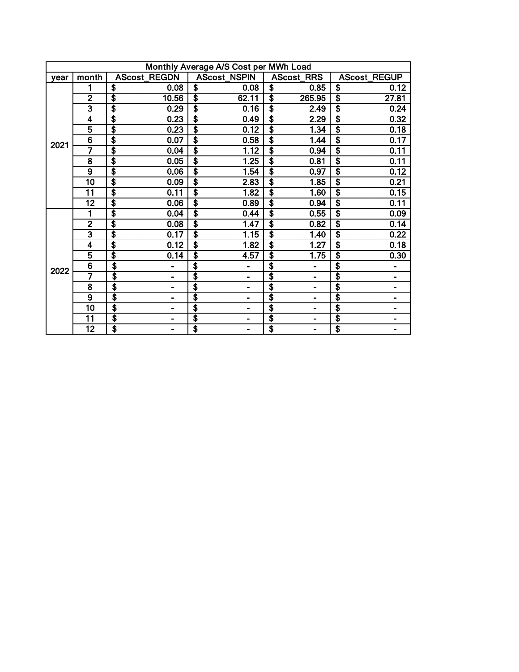|      | Monthly Average A/S Cost per MWh Load |              |                                              |                                              |                                              |  |  |  |  |  |
|------|---------------------------------------|--------------|----------------------------------------------|----------------------------------------------|----------------------------------------------|--|--|--|--|--|
| vear | month                                 | AScost_REGDN | <b>AScost_NSPIN</b>                          | <b>AScost_RRS</b>                            | AScost_REGUP                                 |  |  |  |  |  |
|      |                                       | \$<br>0.08   | \$<br>0.08                                   | \$<br>0.85                                   | \$<br>0.12                                   |  |  |  |  |  |
|      | $\overline{2}$                        | \$<br>10.56  | $\overline{\$}$<br>62.11                     | \$<br>265.95                                 | \$<br>27.81                                  |  |  |  |  |  |
|      | 3                                     | \$<br>0.29   | $\overline{\$}$<br>0.16                      | $\overline{\$}$<br>2.49                      | \$<br>0.24                                   |  |  |  |  |  |
|      | 4                                     | \$<br>0.23   | $\overline{\boldsymbol{\mathsf{s}}}$<br>0.49 | \$<br>2.29                                   | $\overline{\boldsymbol{\mathsf{s}}}$<br>0.32 |  |  |  |  |  |
|      | 5                                     | \$<br>0.23   | s<br>$\overline{0.12}$                       | $\overline{\$}$<br>1.34                      | $\overline{\mathbf{s}}$<br>0.18              |  |  |  |  |  |
| 2021 | $\overline{6}$                        | \$<br>0.07   | $\overline{\boldsymbol{\mathsf{s}}}$<br>0.58 | $\overline{\boldsymbol{\mathsf{s}}}$<br>1.44 | $\overline{\boldsymbol{\mathsf{s}}}$<br>0.17 |  |  |  |  |  |
|      | 7                                     | \$<br>0.04   | \$<br>1.12                                   | $\overline{\boldsymbol{\mathsf{s}}}$<br>0.94 | \$<br>0.11                                   |  |  |  |  |  |
|      | $\overline{\mathbf{8}}$               | \$<br>0.05   | $\overline{\boldsymbol{\mathsf{s}}}$<br>1.25 | $\overline{\boldsymbol{\mathsf{s}}}$<br>0.81 | $\overline{\$}$<br>0.11                      |  |  |  |  |  |
|      | $\overline{9}$                        | \$<br>0.06   | \$<br>1.54                                   | $\overline{\$}$<br>0.97                      | \$<br>0.12                                   |  |  |  |  |  |
|      | $\overline{10}$                       | \$<br>0.09   | $\overline{\$}$<br>2.83                      | $\overline{\$}$<br>1.85                      | \$<br>0.21                                   |  |  |  |  |  |
|      | 11                                    | \$<br>0.11   | $\overline{\boldsymbol{\mathsf{s}}}$<br>1.82 | \$<br>1.60                                   | \$<br>0.15                                   |  |  |  |  |  |
|      | $\overline{12}$                       | \$<br>0.06   | \$<br>0.89                                   | $\overline{\$}$<br>0.94                      | \$<br>0.11                                   |  |  |  |  |  |
|      |                                       | \$<br>0.04   | $\overline{\boldsymbol{s}}$<br>0.44          | $\overline{\boldsymbol{\mathsf{s}}}$<br>0.55 | \$<br>0.09                                   |  |  |  |  |  |
|      | $\overline{2}$                        | \$<br>0.08   | $\overline{\boldsymbol{\mathsf{s}}}$<br>1.47 | $\overline{\boldsymbol{\mathsf{s}}}$<br>0.82 | $\overline{\boldsymbol{\mathsf{s}}}$<br>0.14 |  |  |  |  |  |
|      | $\overline{\mathbf{3}}$               | \$<br>0.17   | \$<br>1.15                                   | \$<br>1.40                                   | \$<br>0.22                                   |  |  |  |  |  |
|      | 4                                     | \$<br>0.12   | $\overline{\textbf{s}}$<br>1.82              | \$<br>1.27                                   | \$<br>0.18                                   |  |  |  |  |  |
|      | $\overline{\mathbf{5}}$               | \$<br>0.14   | $\overline{\boldsymbol{s}}$<br>4.57          | $\overline{\boldsymbol{\mathsf{s}}}$<br>1.75 | \$<br>0.30                                   |  |  |  |  |  |
| 2022 | $\overline{6}$                        | \$           | \$                                           | \$<br>-                                      | \$                                           |  |  |  |  |  |
|      | 7                                     | \$           | \$                                           | \$<br>۰                                      | \$                                           |  |  |  |  |  |
|      | $\overline{\mathbf{8}}$               | \$           | \$<br>-                                      | \$<br>-                                      | $\overline{\boldsymbol{\mathsf{s}}}$<br>-    |  |  |  |  |  |
|      | $\overline{9}$                        | \$           | \$                                           | \$                                           | \$                                           |  |  |  |  |  |
|      | $\overline{10}$                       | \$           | \$<br>-                                      | \$<br>$\blacksquare$                         | \$                                           |  |  |  |  |  |
|      | $\overline{11}$                       | \$           | \$<br>-                                      | \$<br>-                                      | \$<br>-                                      |  |  |  |  |  |
|      | $\overline{12}$                       | \$<br>-      | \$<br>-                                      | \$<br>-                                      | \$<br>-                                      |  |  |  |  |  |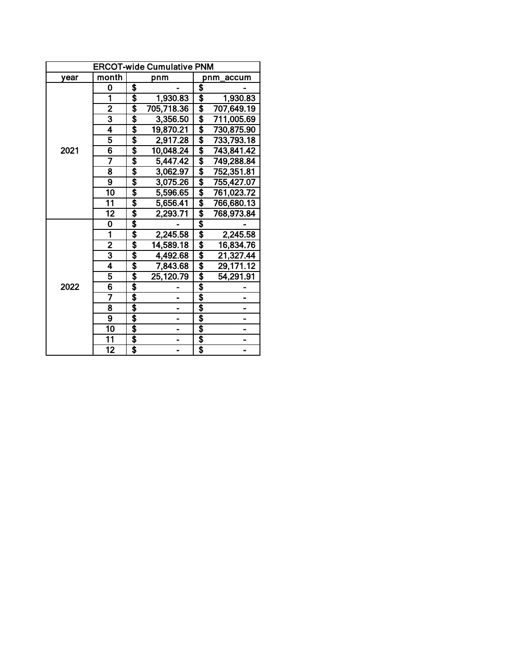|      | <b>ERCOT-wide Cumulative PNM</b> |    |                |    |            |  |  |  |  |  |
|------|----------------------------------|----|----------------|----|------------|--|--|--|--|--|
| year | month                            |    | pnm            |    | pnm accum  |  |  |  |  |  |
|      | 0                                | \$ |                | \$ |            |  |  |  |  |  |
|      | 1                                | \$ | 1,930.83       | \$ | 1,930.83   |  |  |  |  |  |
|      | $\overline{2}$                   | \$ | 705,718.36     | \$ | 707,649.19 |  |  |  |  |  |
|      | 3                                | \$ | 3,356.50       | \$ | 711,005.69 |  |  |  |  |  |
|      | 4                                | \$ | 19,870.21      | \$ | 730,875.90 |  |  |  |  |  |
|      | 5                                | \$ | 2,917.28       | \$ | 733,793.18 |  |  |  |  |  |
| 2021 | $\overline{6}$                   | \$ | 10,048.24      | \$ | 743,841.42 |  |  |  |  |  |
|      | 7                                | \$ | 5,447.42       | \$ | 749,288.84 |  |  |  |  |  |
|      | 8                                | \$ | 3,062.97       | \$ | 752,351.81 |  |  |  |  |  |
|      | $\overline{9}$                   | \$ | 3,075.26       | \$ | 755,427.07 |  |  |  |  |  |
|      | 10                               | \$ | 5,596.65       | \$ | 761,023.72 |  |  |  |  |  |
|      | 11                               | \$ | 5,656.41       | \$ | 766,680.13 |  |  |  |  |  |
|      | $\overline{12}$                  | \$ | 2,293.71       | \$ | 768,973.84 |  |  |  |  |  |
|      | 0                                | \$ |                | \$ |            |  |  |  |  |  |
|      | 1                                | \$ | 2,245.58       | \$ | 2,245.58   |  |  |  |  |  |
|      | $\overline{2}$                   | \$ | 14,589.18      | \$ | 16,834.76  |  |  |  |  |  |
|      | $\overline{\mathbf{3}}$          | \$ | 4,492.68       | \$ | 21,327.44  |  |  |  |  |  |
|      | 4                                | \$ | 7,843.68       | \$ | 29,171.12  |  |  |  |  |  |
|      | 5                                | \$ | 25,120.79      | \$ | 54,291.91  |  |  |  |  |  |
| 2022 | 6                                | \$ |                | \$ |            |  |  |  |  |  |
|      | 7                                | \$ |                | \$ |            |  |  |  |  |  |
|      | $\overline{\mathbf{8}}$          | \$ |                | \$ |            |  |  |  |  |  |
|      | $\overline{9}$                   | \$ |                | \$ |            |  |  |  |  |  |
|      | $\overline{10}$                  | \$ | $\blacksquare$ | \$ | -          |  |  |  |  |  |
|      | $\overline{11}$                  | \$ |                | \$ |            |  |  |  |  |  |
|      | 12                               | \$ |                | \$ |            |  |  |  |  |  |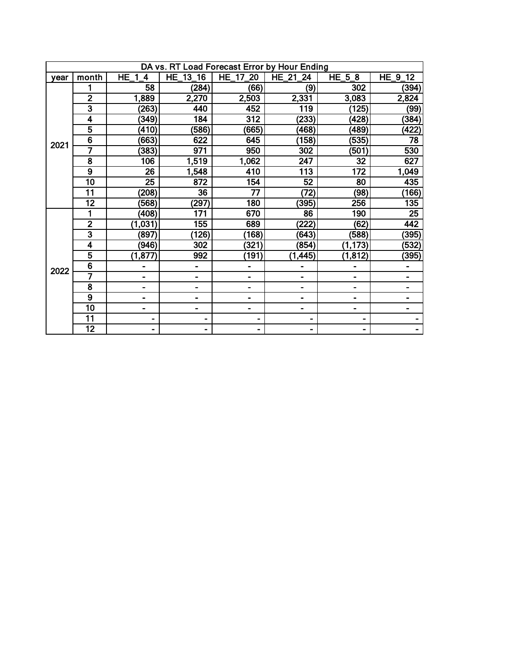| DA vs. RT Load Forecast Error by Hour Ending |                         |                 |                 |                 |                |          |                 |  |  |  |  |  |
|----------------------------------------------|-------------------------|-----------------|-----------------|-----------------|----------------|----------|-----------------|--|--|--|--|--|
| vear                                         | month                   | $HE_1$<br>4     | HE_13_16        | HE_17_20        | HE_21_24       | $HE_5_8$ | HE_9_12         |  |  |  |  |  |
|                                              |                         | 58              | (284)           | (66)            | (9)            | 302      | (394)           |  |  |  |  |  |
|                                              | $\bar{2}$               | 1,889           | 2,270           | 2,503           | 2,331          | 3,083    | 2,824           |  |  |  |  |  |
|                                              | 3                       | (263)           | 440             | 452             | 119            | (125)    | (99)            |  |  |  |  |  |
|                                              | 4                       | (349)           | 184             | 312             | (233)          | (428)    | (384)           |  |  |  |  |  |
|                                              | $\overline{5}$          | (410)           | (586)           | (665)           | (468)          | (489)    | (422)           |  |  |  |  |  |
| 2021                                         | $\overline{6}$          | (663)           | 622             | 645             | (158)          | (535)    | $\overline{78}$ |  |  |  |  |  |
|                                              | 7                       | (383)           | 971             | 950             | 302            | (501)    | 530             |  |  |  |  |  |
|                                              | $\overline{\mathbf{8}}$ | 106             | 1,519           | 1,062           | 247            | 32       | 627             |  |  |  |  |  |
|                                              | $\overline{9}$          | $\overline{26}$ | 1,548           | 410             | 113            | 172      | 1,049           |  |  |  |  |  |
|                                              | $\overline{10}$         | $\overline{25}$ | 872             | 154             | 52             | 80       | 435             |  |  |  |  |  |
|                                              | 11                      | (208)           | $\overline{36}$ | $\overline{77}$ | (72)           | (98)     | (166)           |  |  |  |  |  |
|                                              | $\overline{12}$         | (568)           | (297)           | 180             | (395)          | 256      | 135             |  |  |  |  |  |
|                                              |                         | (408)           | 171             | 670             | 86             | 190      | $\overline{25}$ |  |  |  |  |  |
|                                              | $\overline{2}$          | (1,031)         | 155             | 689             | (222)          | (62)     | 442             |  |  |  |  |  |
|                                              | $\overline{\mathbf{3}}$ | (897)           | (126)           | (168)           | (643)          | (588)    | (395)           |  |  |  |  |  |
|                                              | $\overline{\mathbf{4}}$ | (946)           | 302             | (321)           | (854)          | (1, 173) | (532)           |  |  |  |  |  |
|                                              | $\overline{\mathbf{5}}$ | (1, 877)        | 992             | (191)           | (1, 445)       | (1, 812) | (395)           |  |  |  |  |  |
| 2022                                         | $\overline{6}$          |                 |                 | -               |                |          |                 |  |  |  |  |  |
|                                              | 7                       | -               | ۰               | $\blacksquare$  |                | -        |                 |  |  |  |  |  |
|                                              | $\overline{8}$          | $\blacksquare$  | ۰               |                 |                | ۰        | ۰               |  |  |  |  |  |
|                                              | $\overline{9}$          | $\blacksquare$  |                 | -               |                | -        | Ξ.              |  |  |  |  |  |
|                                              | $\overline{10}$         | $\blacksquare$  | Ξ.              | ۰               | $\blacksquare$ | ۰        | -               |  |  |  |  |  |
|                                              | 11                      | -               | $\blacksquare$  | -               |                |          |                 |  |  |  |  |  |
|                                              | 12                      |                 |                 |                 |                |          |                 |  |  |  |  |  |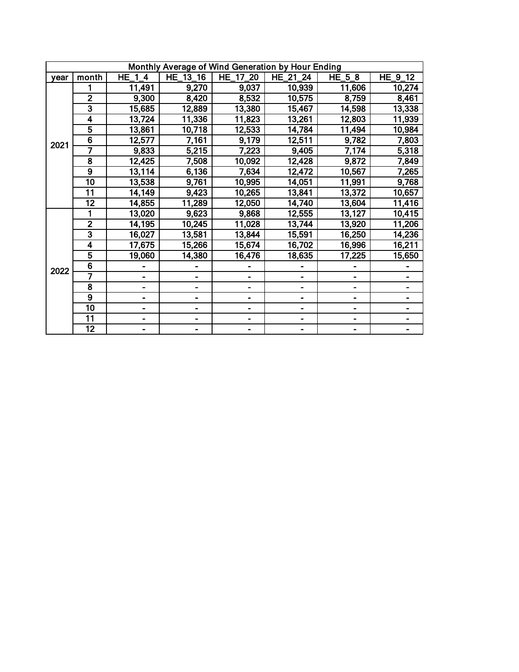| Monthly Average of Wind Generation by Hour Ending |                         |                              |          |                              |          |          |         |  |  |  |  |  |
|---------------------------------------------------|-------------------------|------------------------------|----------|------------------------------|----------|----------|---------|--|--|--|--|--|
| year                                              | month                   | $HE_1_4$                     | HE_13_16 | HE_17_20                     | HE_21_24 | $HE_5_8$ | HE_9_12 |  |  |  |  |  |
|                                                   |                         | 11,491                       | 9,270    | 9,037                        | 10,939   | 11,606   | 10,274  |  |  |  |  |  |
|                                                   | $\overline{2}$          | 9,300                        | 8,420    | 8,532                        | 10,575   | 8,759    | 8,461   |  |  |  |  |  |
|                                                   | $\overline{\mathbf{3}}$ | 15,685                       | 12,889   | 13,380                       | 15,467   | 14,598   | 13,338  |  |  |  |  |  |
|                                                   | $\overline{\mathbf{4}}$ | 13,724                       | 11,336   | 11,823                       | 13,261   | 12,803   | 11,939  |  |  |  |  |  |
|                                                   | $\overline{5}$          | 13,861                       | 10,718   | 12,533                       | 14,784   | 11,494   | 10,984  |  |  |  |  |  |
|                                                   | $\overline{6}$          | 12,577                       | 7,161    | 9,179                        | 12,511   | 9,782    | 7,803   |  |  |  |  |  |
| 2021                                              | 7                       | 9,833                        | 5,215    | 7,223                        | 9,405    | 7,174    | 5,318   |  |  |  |  |  |
|                                                   | $\overline{8}$          | 12,425                       | 7,508    | 10,092                       | 12,428   | 9,872    | 7,849   |  |  |  |  |  |
|                                                   | $\overline{9}$          | 13,114                       | 6,136    | 7,634                        | 12,472   | 10,567   | 7,265   |  |  |  |  |  |
|                                                   | $\overline{10}$         | 13,538                       | 9,761    | 10,995                       | 14,051   | 11,991   | 9,768   |  |  |  |  |  |
|                                                   | 11                      | 14,149                       | 9,423    | 10,265                       | 13,841   | 13,372   | 10,657  |  |  |  |  |  |
|                                                   | $\overline{12}$         | 14,855                       | 11,289   | 12,050                       | 14,740   | 13,604   | 11,416  |  |  |  |  |  |
|                                                   |                         | 13,020                       | 9,623    | 9,868                        | 12,555   | 13,127   | 10,415  |  |  |  |  |  |
|                                                   | $\overline{2}$          | 14,195                       | 10,245   | 11,028                       | 13,744   | 13,920   | 11,206  |  |  |  |  |  |
|                                                   | $\overline{\mathbf{3}}$ | 16,027                       | 13,581   | 13,844                       | 15,591   | 16,250   | 14,236  |  |  |  |  |  |
|                                                   | $\overline{4}$          | 17,675                       | 15,266   | 15,674                       | 16,702   | 16,996   | 16,211  |  |  |  |  |  |
|                                                   | $\overline{5}$          | 19,060                       | 14,380   | 16,476                       | 18,635   | 17,225   | 15,650  |  |  |  |  |  |
| 2022                                              | $\overline{6}$          |                              |          |                              |          |          |         |  |  |  |  |  |
|                                                   | 7                       |                              |          |                              |          |          |         |  |  |  |  |  |
|                                                   | $\overline{\mathbf{8}}$ | $\qquad \qquad \blacksquare$ | Ξ.       | $\blacksquare$               |          |          |         |  |  |  |  |  |
|                                                   | $\overline{9}$          |                              |          |                              |          |          |         |  |  |  |  |  |
|                                                   | $\overline{10}$         |                              |          |                              |          |          |         |  |  |  |  |  |
|                                                   | $\overline{11}$         | -                            |          | $\qquad \qquad \blacksquare$ |          | Ξ.       |         |  |  |  |  |  |
|                                                   | $\overline{12}$         |                              |          |                              |          |          |         |  |  |  |  |  |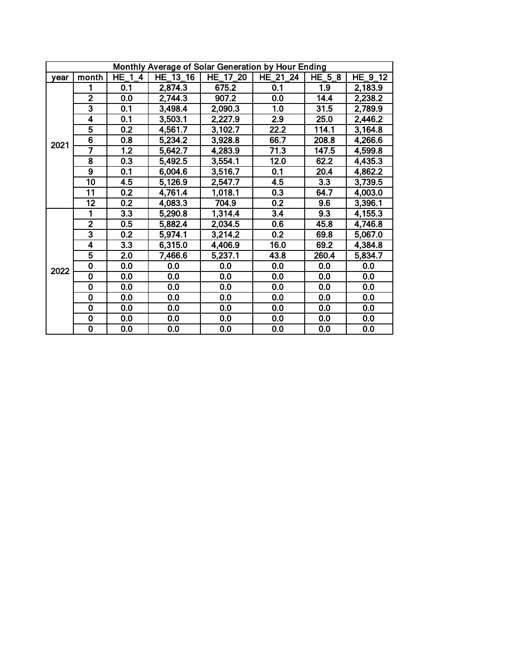|      | Monthly Average of Solar Generation by Hour Ending |                  |          |          |                  |          |         |  |  |  |  |  |  |
|------|----------------------------------------------------|------------------|----------|----------|------------------|----------|---------|--|--|--|--|--|--|
| vear | month                                              | <b>HE 14</b>     | HE_13_16 | HE_17_20 | HE_21_24         | $HE_5_8$ | HE_9_12 |  |  |  |  |  |  |
|      |                                                    | 0.1              | 2,874.3  | 675.2    | 0.1              | 1.9      | 2,183.9 |  |  |  |  |  |  |
|      | $\overline{2}$                                     | 0.0              | 2,744.3  | 907.2    | 0.0              | 14.4     | 2,238.2 |  |  |  |  |  |  |
|      | $\overline{\mathbf{3}}$                            | 0.1              | 3,498.4  | 2,090.3  | 1.0              | 31.5     | 2,789.9 |  |  |  |  |  |  |
|      | $\overline{\mathbf{4}}$                            | 0.1              | 3,503.1  | 2,227.9  | 2.9              | 25.0     | 2,446.2 |  |  |  |  |  |  |
|      | $\overline{\mathbf{5}}$                            | 0.2              | 4,561.7  | 3,102.7  | 22.2             | 114.1    | 3,164.8 |  |  |  |  |  |  |
| 2021 | $\overline{6}$                                     | 0.8              | 5,234.2  | 3,928.8  | 66.7             | 208.8    | 4,266.6 |  |  |  |  |  |  |
|      | 7                                                  | 1.2              | 5,642.7  | 4,283.9  | 71.3             | 147.5    | 4,599.8 |  |  |  |  |  |  |
|      | $\overline{\mathbf{8}}$                            | 0.3              | 5,492.5  | 3,554.1  | 12.0             | 62.2     | 4,435.3 |  |  |  |  |  |  |
|      | $\overline{9}$                                     | 0.1              | 6,004.6  | 3,516.7  | 0.1              | 20.4     | 4,862.2 |  |  |  |  |  |  |
|      | $\overline{10}$                                    | 4.5              | 5,126.9  | 2,547.7  | 4.5              | 3.3      | 3,739.5 |  |  |  |  |  |  |
|      | 11                                                 | 0.2              | 4,761.4  | 1,018.1  | 0.3              | 64.7     | 4,003.0 |  |  |  |  |  |  |
|      | $\overline{12}$                                    | 0.2              | 4,083.3  | 704.9    | 0.2              | 9.6      | 3,396.1 |  |  |  |  |  |  |
|      | 1                                                  | $\overline{3.3}$ | 5,290.8  | 1,314.4  | $\overline{3.4}$ | 9.3      | 4,155.3 |  |  |  |  |  |  |
|      | $\overline{2}$                                     | 0.5              | 5,882.4  | 2,034.5  | 0.6              | 45.8     | 4,746.8 |  |  |  |  |  |  |
|      | $\overline{\mathbf{3}}$                            | 0.2              | 5,974.1  | 3,214.2  | 0.2              | 69.8     | 5,067.0 |  |  |  |  |  |  |
|      | $\overline{4}$                                     | 3.3              | 6,315.0  | 4,406.9  | 16.0             | 69.2     | 4,384.8 |  |  |  |  |  |  |
|      | 5                                                  | 2.0              | 7,466.6  | 5,237.1  | 43.8             | 260.4    | 5,834.7 |  |  |  |  |  |  |
| 2022 | $\overline{\mathbf{0}}$                            | 0.0              | 0.0      | 0.0      | 0.0              | 0.0      | 0.0     |  |  |  |  |  |  |
|      | $\overline{\mathbf{0}}$                            | 0.0              | 0.0      | 0.0      | 0.0              | 0.0      | 0.0     |  |  |  |  |  |  |
|      | $\overline{\mathbf{0}}$                            | 0.0              | 0.0      | 0.0      | 0.0              | 0.0      | 0.0     |  |  |  |  |  |  |
|      | $\overline{\mathbf{0}}$                            | 0.0              | 0.0      | 0.0      | 0.0              | 0.0      | 0.0     |  |  |  |  |  |  |
|      | $\bf{0}$                                           | 0.0              | 0.0      | 0.0      | 0.0              | 0.0      | 0.0     |  |  |  |  |  |  |
|      | $\overline{\mathbf{0}}$                            | 0.0              | 0.0      | 0.0      | 0.0              | 0.0      | 0.0     |  |  |  |  |  |  |
|      | $\overline{\mathbf{0}}$                            | 0.0              | 0.0      | 0.0      | 0.0              | 0.0      | 0.0     |  |  |  |  |  |  |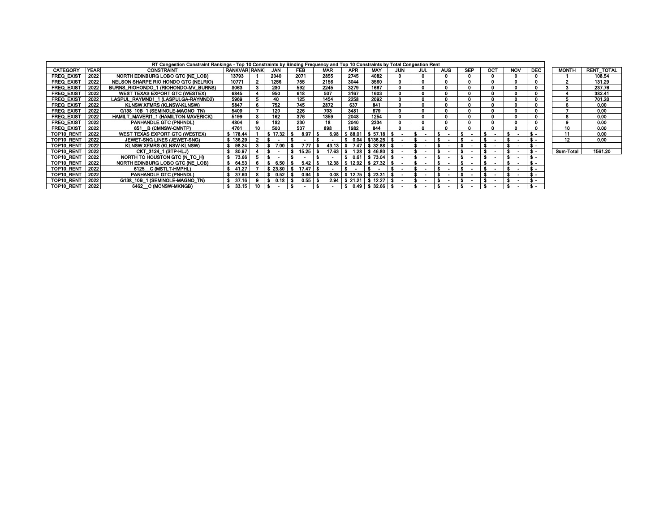|                   |             | RT Congestion Constraint Rankings - Top 10 Constraints by Binding Frequency and Top 10 Constraints by Total Congestion Rent |                  |    |            |            |            |            |            |  |                   |  |                          |  |            |            |              |                   |
|-------------------|-------------|-----------------------------------------------------------------------------------------------------------------------------|------------------|----|------------|------------|------------|------------|------------|--|-------------------|--|--------------------------|--|------------|------------|--------------|-------------------|
| <b>CATEGORY</b>   | <b>YEAR</b> | <b>CONSTRAINT</b>                                                                                                           | I RANKVAR IRANKI |    | <b>JAN</b> | <b>FEB</b> | <b>MAR</b> | <b>APR</b> | <b>MAY</b> |  | <b>JUN</b><br>JUL |  | <b>SEP</b><br><b>AUG</b> |  | <b>NOV</b> | <b>DEC</b> | <b>MONTH</b> | <b>RENT TOTAL</b> |
| FREQ EXIST        | 2022        | NORTH EDINBURG LOBO GTC (NE LOB)                                                                                            | 13793            |    | 2040       | 2071       | 2855       | 2745       | 4082       |  |                   |  |                          |  |            |            |              | 108.54            |
| <b>FREQ EXIST</b> | 2022        | NELSON SHARPE RIO HONDO GTC (NELRIO)                                                                                        | 10771            |    | 1256       | 755        | 2156       | 3044       | 3560       |  |                   |  |                          |  |            |            | ີ            | 131.29            |
| <b>FREQ EXIST</b> | 2022        | BURNS RIOHONDO 1 (RIOHONDO-MV BURNS)                                                                                        | 8063             |    | 280        | 592        | 2245       | 3279       | 1667       |  |                   |  |                          |  |            |            | 3            | 237.76            |
| FREQ EXIST        | 2022        | WEST TEXAS EXPORT GTC (WESTEX)                                                                                              | 6845             |    | 950        | 618        | 507        | 3167       | 1603       |  |                   |  |                          |  |            |            |              | 382.41            |
| <b>FREQ EXIST</b> | 2022        | LASPUL RAYMND1 1 (LASPULGA-RAYMND2)                                                                                         | 5969             |    | 40         | 125        | 1454       | 2258       | 2092       |  |                   |  |                          |  |            |            |              | 701.20            |
| <b>FREQ EXIST</b> | 2022        | <b>KLNSW XFMRS (KLNSW-KLNSW)</b>                                                                                            | 5847             |    | 752        | 745        | 2872       | 637        | 841        |  |                   |  |                          |  |            |            |              | 0.00              |
| FREQ EXIST        | 2022        | G138 10B 1 (SEMINOLE-MAGNO TN)                                                                                              | 5409             |    | 120        | 226        | 703        | 3481       | 879        |  |                   |  |                          |  |            |            |              | 0.00              |
| <b>FREQ EXIST</b> | 2022        | HAMILT MAVERI1 1 (HAMILTON-MAVERICK)                                                                                        | 5199             |    | 162        | 376        | 1359       | 2048       | 1254       |  |                   |  |                          |  |            |            |              | 0.00              |
| <b>FREQ EXIST</b> | 2022        | PANHANDLE GTC (PNHNDL)                                                                                                      | 4804             |    | 182        | 230        | 18         | 2040       | 2334       |  |                   |  |                          |  |            |            | 9            | 0.00              |
| <b>FREQ EXIST</b> | 2022        | 651 B (CMNSW-CMNTP)                                                                                                         | 4761             |    | 500        | 537        | 898        | 1982       | 844        |  |                   |  |                          |  |            |            | 10           | 0.00              |
| TOP10 RENT        | 2022        | WEST TEXAS EXPORT GTC (WESTEX)                                                                                              | 178.44           |    | 17.32      | 8.97       | 6.98       | 88.01      | $S$ 57.18  |  |                   |  |                          |  |            |            | 11           | 0.00              |
| TOP10 RENT        | 2022        | JEWET-SNG LINES (JEWET-SNG)                                                                                                 | \$136.29         |    |            |            |            | 0.04       | \$136.25   |  |                   |  |                          |  |            | я.         | 12           | 0.00              |
| TOP10 RENT        | 2022        | <b>KLNSW XFMRS (KLNSW-KLNSW)</b>                                                                                            | 98.24            |    |            | 7.77       | 43.13      | 7.47       | \$32.88    |  |                   |  |                          |  |            |            |              |                   |
| TOP10 RENT        | 2022        | CKT 3124 1 (STP-HLJ)                                                                                                        | 80.97            |    |            | 15.25      | 17.63      | 1.28       | S 46.80    |  |                   |  |                          |  |            |            | Sum-Total    | 1561.20           |
| TOP10 RENT        | 2022        | NORTH TO HOUSTON GTC (N TO H)                                                                                               | 73.66            |    |            |            |            | 0.61       | \$73.04    |  |                   |  |                          |  |            |            |              |                   |
| TOP10 RENT        | 2022        | NORTH EDINBURG LOBO GTC (NE LOB)                                                                                            | 64.53            |    | -6.50      | 5.42       | 12.38      | 12.92      |            |  |                   |  |                          |  |            |            |              |                   |
| TOP10 RENT        | 2022        | 6125 C (MSTLT-HMPHL)                                                                                                        | 41.27            |    | 23.80      | 17.47      |            |            |            |  |                   |  |                          |  |            |            |              |                   |
| TOP10 RENT        | 2022        | <b>PANHANDLE GTC (PNHNDL)</b>                                                                                               | 37.60            |    | -0.52      | 0.94       | 0.08       | 12.75      | \$23.31    |  |                   |  |                          |  |            |            |              |                   |
| TOP10 RENT        | 2022        | G138 10B 1 (SEMINOLE-MAGNO TN)                                                                                              | 37.10            |    | 0.18       | 0.55       | 2.94       |            | \$12.27    |  |                   |  |                          |  |            |            |              |                   |
| TOP10 RENT        | 2022        | 6462 C (MCNSW-MKNGB)                                                                                                        | 33.15            | 10 | $\sim$     |            |            | 0.49       | S 32.66    |  |                   |  |                          |  |            |            |              |                   |

| <b>MONTH</b> | <b>RENT TOTAL</b> |
|--------------|-------------------|
|              |                   |
|              | 108.54            |
| 2            | 131.29            |
| 3            | 237.76            |
| 4            | 382.41            |
| 5            | 701.20            |
| 6            | 0.00              |
|              | 0.00              |
| 8            | 0.00              |
| 9            | 0.00              |
| 10           | 0.00              |
| 11           | 0.00              |
| 12           | 0.00              |
|              |                   |
| Sum-Total    | 1561.20           |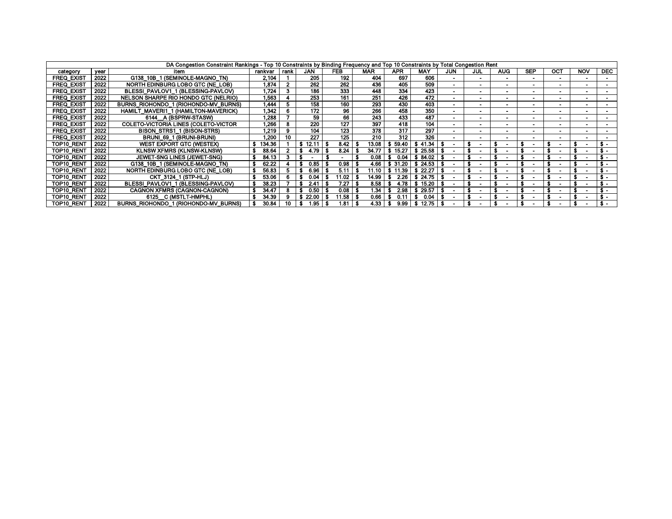|                   |      | DA Congestion Constraint Rankings - Top 10 Constraints by Binding Frequency and Top 10 Constraints by Total Congestion Rent |         |      |            |                  |            |               |            |                |     |            |            |        |            |            |
|-------------------|------|-----------------------------------------------------------------------------------------------------------------------------|---------|------|------------|------------------|------------|---------------|------------|----------------|-----|------------|------------|--------|------------|------------|
| category          | vear | item                                                                                                                        | rankvar | rank | <b>JAN</b> | FEB              | <b>MAR</b> | <b>APR</b>    | <b>MAY</b> | <b>JUN</b>     | JUL | <b>AUG</b> | <b>SEP</b> | OCT    | <b>NOV</b> | <b>DEC</b> |
| <b>FREQ EXIST</b> | 2022 | G138 10B 1 (SEMINOLE-MAGNO TN)                                                                                              | 2.104   |      | 205        | 192              | 404        | 697           | 606        |                |     |            |            |        |            |            |
| <b>FREQ EXIST</b> | 2022 | NORTH EDINBURG LOBO GTC (NE LOB)                                                                                            | 1.874   |      | 262        | 262              | 436        | 405           | 509        |                |     |            |            |        |            |            |
| <b>FREQ EXIST</b> | 2022 | BLESSI PAVLOV1 1 (BLESSING-PAVLOV)                                                                                          | .724    |      | 186        | 333              | 448        | 334           | 423        |                |     |            |            |        |            |            |
| FREQ EXIST        | 2022 | NELSON SHARPE RIO HONDO GTC (NELRIO)                                                                                        | .563    |      | 253        | 161              | 251        | 426           | 472        |                |     |            |            |        |            |            |
| <b>FREQ EXIST</b> | 2022 | BURNS RIOHONDO 1 (RIOHONDO-MV BURNS)                                                                                        | 444. ا  |      | 158        | 160              | 293        | 430           | 403        | $\blacksquare$ |     |            |            | $\sim$ |            |            |
| <b>FREQ EXIST</b> | 2022 | HAMILT MAVERI1 1 (HAMILTON-MAVERICK)                                                                                        | 1.342   |      | 172        | 96               | 266        | 458           | 350        | ۰.             |     | ۰.         |            | $\sim$ |            |            |
| <b>FREQ EXIST</b> | 2022 | 6144 A (BSPRW-STASW)                                                                                                        | 1.288   |      | 59         | 66               | 243        | 433           | 487        |                |     |            |            |        |            |            |
| <b>FREQ EXIST</b> | 2022 | <b>COLETO-VICTORIA LINES (COLETO-VICTOR)</b>                                                                                | .266    |      | 220        | 127              | 397        | 418           | 104        | ۰              |     |            |            | $\sim$ |            |            |
| <b>FREQ EXIST</b> | 2022 | BISON STRS1 1 (BISON-STRS)                                                                                                  | .219    |      | 104        | 123              | 378        | 317           | 297        |                |     |            |            |        |            |            |
| <b>FREQ EXIST</b> | 2022 | BRUNI 69 1 (BRUNI-BRUNI)                                                                                                    | 1.200   |      | 227        | 125              | 210        | 312           | 326        |                |     |            |            |        |            |            |
| <b>TOP10 RENT</b> | 2022 | WEST EXPORT GTC (WESTEX)                                                                                                    | 134.36  |      |            | 8.42             | 13.08      | 59.40         | 41.34      |                |     |            |            |        |            |            |
| TOP10 REN         | 2022 | <b>KLNSW XFMRS (KLNSW-KLNSW)</b>                                                                                            | 88.64   |      | 4.79       | 8.24             | 34.77      |               | 25.58      |                |     |            |            |        |            |            |
| <b>TOP10 RENT</b> | 2022 | JEWET-SNG LINES (JEWET-SNG)                                                                                                 | 84.13   |      |            |                  | 0.08       | 0.04          | 84.02      |                |     |            |            |        |            |            |
| TOP10 RENT        | 2022 | G138 10B 1 (SEMINOLE-MAGNO TN)                                                                                              |         |      | 0.85       | 0.98             | 4.66       | \$ 31.20      | \$24.53    |                |     |            |            |        |            |            |
| TOP10 RENT        | 2022 | NORTH EDINBURG LOBO GTC (NE LOB)                                                                                            | 56.83   |      | 6.96       | 5.11             | 11.10      | 11.39         |            |                |     |            |            |        |            |            |
| <b>TOP10 RENT</b> | 2022 | CKT 3124 1 (STP-HLJ)                                                                                                        | 53.06   |      | 0.04       | .02 <sub>1</sub> | 14.99      | 2.26          | 24.75      |                |     |            |            |        |            |            |
| TOP10 REN         | 2022 | BLESSI_PAVLOV1_1 (BLESSING-PAVLOV)                                                                                          | 38.23   |      |            | 7.27             | 8.58       | 4.78          | 15.20      |                |     |            |            |        |            |            |
| TOP10 RENT        | 2022 | CAGNON XFMRS (CAGNON-CAGNON)                                                                                                | 34.47   |      | 0.50       | 0.08             | l.34       | 2.98          | 29.57      |                |     |            |            |        |            | - SS       |
| TOP10 RENT        | 2022 | 6125 C (MSTLT-HMPHL)                                                                                                        | 34.39   |      |            | 1.58             | 0.66       | $0.1^{\circ}$ | 0.04       |                |     |            |            |        |            |            |
| TOP10 RENT        | 2022 | BURNS RIOHONDO 1 (RIOHONDO-MV BURNS)                                                                                        | 30.84   |      | 1.95       | 1.81             | 4.33       | 9.99          | \$12.75    |                |     |            |            |        |            |            |